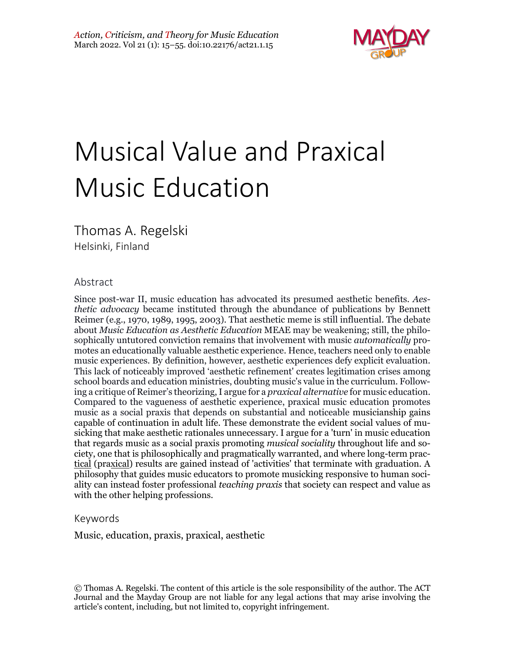

# Musical Value and Praxical Music Education

Thomas A. Regelski

Helsinki, Finland

#### Abstract

Since post-war II, music education has advocated its presumed aesthetic benefits. *Aesthetic advocacy* became instituted through the abundance of publications by Bennett Reimer (e.g., 1970, 1989, 1995, 2003). That aesthetic meme is still influential. The debate about *Music Education as Aesthetic Education* MEAE may be weakening; still, the philosophically untutored conviction remains that involvement with music *automatically* promotes an educationally valuable aesthetic experience. Hence, teachers need only to enable music experiences. By definition, however, aesthetic experiences defy explicit evaluation. This lack of noticeably improved 'aesthetic refinement' creates legitimation crises among school boards and education ministries, doubting music's value in the curriculum. Following a critique of Reimer's theorizing, I argue for a *praxical alternative* for music education. Compared to the vagueness of aesthetic experience, praxical music education promotes music as a social praxis that depends on substantial and noticeable musicianship gains capable of continuation in adult life. These demonstrate the evident social values of musicking that make aesthetic rationales unnecessary. I argue for a 'turn' in music education that regards music as a social praxis promoting *musical sociality* throughout life and society, one that is philosophically and pragmatically warranted, and where long-term practical (praxical) results are gained instead of 'activities' that terminate with graduation. A philosophy that guides music educators to promote musicking responsive to human sociality can instead foster professional *teaching praxis* that society can respect and value as with the other helping professions.

#### Keywords

Music, education, praxis, praxical, aesthetic

<sup>©</sup> Thomas A. Regelski. The content of this article is the sole responsibility of the author. The ACT Journal and the Mayday Group are not liable for any legal actions that may arise involving the article's content, including, but not limited to, copyright infringement.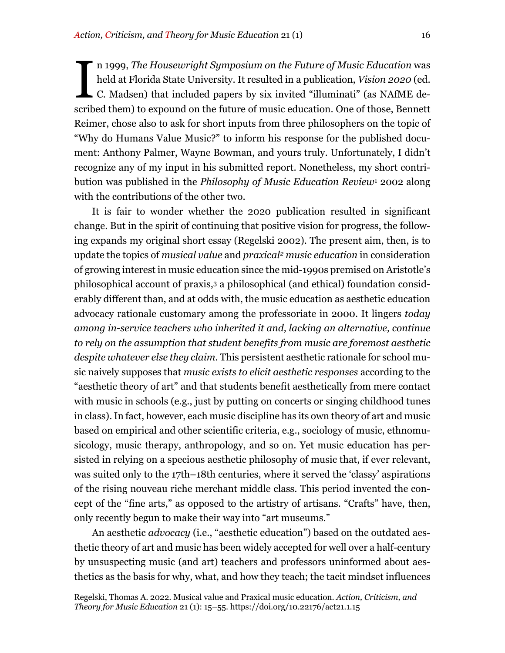n 1999, *The Housewright Symposium on the Future of Music Education* was held at Florida State University. It resulted in a publication, *Vision 2020* (ed. C. Madsen) that included papers by six invited "illuminati" (as NAfME described them) to expound on the future of music education. One of those, Bennett Reimer, chose also to ask for short inputs from three philosophers on the topic of "Why do Humans Value Music?" to inform his response for the published document: Anthony Palmer, Wayne Bowman, and yours truly. Unfortunately, I didn't recognize any of my input in his submitted report. Nonetheless, my short contribution was published in the *Philosophy of Music Education Review*<sup>1</sup> 2002 along with the contributions of the other two. I

It is fair to wonder whether the 2020 publication resulted in significant change. But in the spirit of continuing that positive vision for progress, the following expands my original short essay (Regelski 2002). The present aim, then, is to update the topics of *musical value* and *praxical2 music education* in consideration of growing interest in music education since the mid-1990s premised on Aristotle's philosophical account of praxis,3 a philosophical (and ethical) foundation considerably different than, and at odds with, the music education as aesthetic education advocacy rationale customary among the professoriate in 2000. It lingers *today among in-service teachers who inherited it and, lacking an alternative, continue to rely on the assumption that student benefits from music are foremost aesthetic despite whatever else they claim.* This persistent aesthetic rationale for school music naively supposes that *music exists to elicit aesthetic responses* according to the "aesthetic theory of art" and that students benefit aesthetically from mere contact with music in schools (e.g., just by putting on concerts or singing childhood tunes in class).In fact, however, each music discipline has its own theory of art and music based on empirical and other scientific criteria, e.g., sociology of music, ethnomusicology, music therapy, anthropology, and so on. Yet music education has persisted in relying on a specious aesthetic philosophy of music that, if ever relevant, was suited only to the 17th–18th centuries, where it served the 'classy' aspirations of the rising nouveau riche merchant middle class. This period invented the concept of the "fine arts," as opposed to the artistry of artisans. "Crafts" have, then, only recently begun to make their way into "art museums."

An aesthetic *advocacy* (i.e., "aesthetic education") based on the outdated aesthetic theory of art and music has been widely accepted for well over a half-century by unsuspecting music (and art) teachers and professors uninformed about aesthetics as the basis for why, what, and how they teach; the tacit mindset influences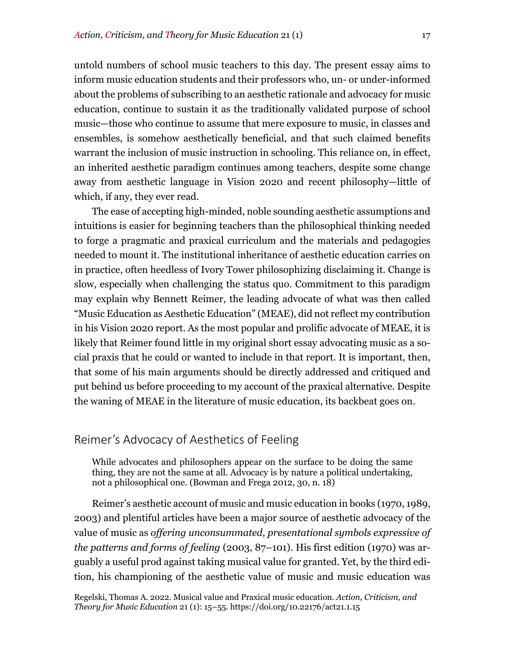untold numbers of school music teachers to this day. The present essay aims to inform music education students and their professors who, un- or under-informed about the problems of subscribing to an aesthetic rationale and advocacy for music education, continue to sustain it as the traditionally validated purpose of school music—those who continue to assume that mere exposure to music, in classes and ensembles, is somehow aesthetically beneficial, and that such claimed benefits warrant the inclusion of music instruction in schooling. This reliance on, in effect, an inherited aesthetic paradigm continues among teachers, despite some change away from aesthetic language in Vision 2020 and recent philosophy—little of which, if any, they ever read.

The ease of accepting high-minded, noble sounding aesthetic assumptions and intuitions is easier for beginning teachers than the philosophical thinking needed to forge a pragmatic and praxical curriculum and the materials and pedagogies needed to mount it. The institutional inheritance of aesthetic education carries on in practice, often heedless of Ivory Tower philosophizing disclaiming it. Change is slow, especially when challenging the status quo. Commitment to this paradigm may explain why Bennett Reimer, the leading advocate of what was then called "Music Education as Aesthetic Education" (MEAE), did not reflect my contribution in his Vision 2020 report. As the most popular and prolific advocate of MEAE, it is likely that Reimer found little in my original short essay advocating music as a social praxis that he could or wanted to include in that report. It is important, then, that some of his main arguments should be directly addressed and critiqued and put behind us before proceeding to my account of the praxical alternative. Despite the waning of MEAE in the literature of music education, its backbeat goes on.

#### Reimer's Advocacy of Aesthetics of Feeling

While advocates and philosophers appear on the surface to be doing the same thing, they are not the same at all. Advocacy is by nature a political undertaking, not a philosophical one. (Bowman and Frega 2012, 30, n. 18)

Reimer's aesthetic account of music and music education in books (1970, 1989, 2003) and plentiful articles have been a major source of aesthetic advocacy of the value of music as *offering unconsummated, presentational symbols expressive of the patterns and forms of feeling* (2003, 87–101). His first edition (1970) was arguably a useful prod against taking musical value for granted. Yet, by the third edition, his championing of the aesthetic value of music and music education was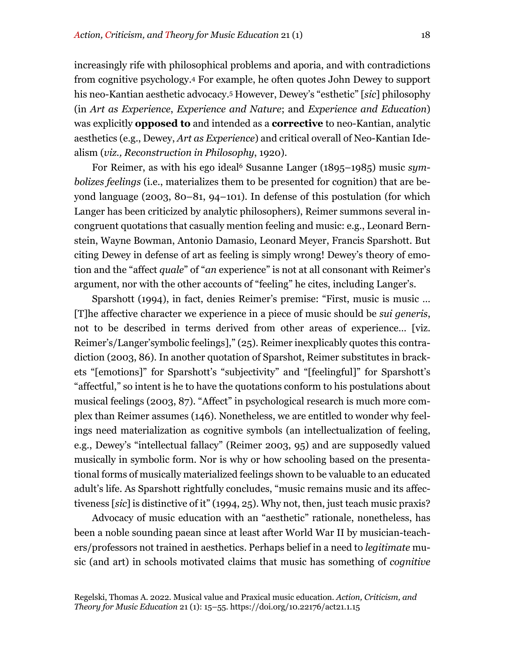increasingly rife with philosophical problems and aporia, and with contradictions from cognitive psychology.4 For example, he often quotes John Dewey to support his neo-Kantian aesthetic advocacy.5 However, Dewey's "esthetic" [*sic*] philosophy (in *Art as Experience*, *Experience and Nature*; and *Experience and Education*) was explicitly **opposed to** and intended as a **corrective** to neo-Kantian, analytic aesthetics (e.g., Dewey, *Art as Experience*) and critical overall of Neo-Kantian Idealism (*viz., Reconstruction in Philosophy*, 1920).

For Reimer, as with his ego ideal<sup>6</sup> Susanne Langer (1895–1985) music *symbolizes feelings* (i.e., materializes them to be presented for cognition) that are beyond language (2003, 80–81, 94–101). In defense of this postulation (for which Langer has been criticized by analytic philosophers), Reimer summons several incongruent quotations that casually mention feeling and music: e.g., Leonard Bernstein, Wayne Bowman, Antonio Damasio, Leonard Meyer, Francis Sparshott. But citing Dewey in defense of art as feeling is simply wrong! Dewey's theory of emotion and the "affect *quale*" of "*an* experience" is not at all consonant with Reimer's argument, nor with the other accounts of "feeling" he cites, including Langer's.

Sparshott (1994), in fact, denies Reimer's premise: "First, music is music … [T]he affective character we experience in a piece of music should be *sui generis*, not to be described in terms derived from other areas of experience… [viz. Reimer's/Langer'symbolic feelings]," (25). Reimer inexplicably quotes this contradiction (2003, 86). In another quotation of Sparshot, Reimer substitutes in brackets "[emotions]" for Sparshott's "subjectivity" and "[feelingful]" for Sparshott's "affectful," so intent is he to have the quotations conform to his postulations about musical feelings (2003, 87). "Affect" in psychological research is much more complex than Reimer assumes (146). Nonetheless, we are entitled to wonder why feelings need materialization as cognitive symbols (an intellectualization of feeling, e.g., Dewey's "intellectual fallacy" (Reimer 2003, 95) and are supposedly valued musically in symbolic form. Nor is why or how schooling based on the presentational forms of musically materialized feelings shown to be valuable to an educated adult's life. As Sparshott rightfully concludes, "music remains music and its affectiveness [*sic*] is distinctive of it" (1994, 25). Why not, then, just teach music praxis?

Advocacy of music education with an "aesthetic" rationale, nonetheless, has been a noble sounding paean since at least after World War II by musician-teachers/professors not trained in aesthetics. Perhaps belief in a need to *legitimate* music (and art) in schools motivated claims that music has something of *cognitive*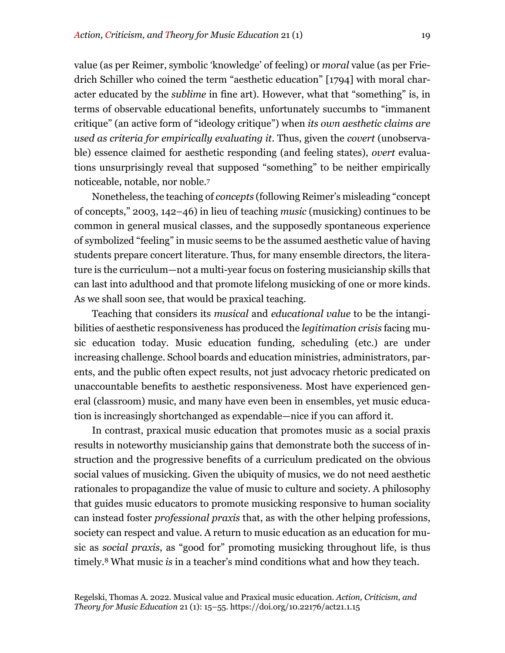value (as per Reimer, symbolic 'knowledge' of feeling) or *moral* value (as per Friedrich Schiller who coined the term "aesthetic education" [1794] with moral character educated by the *sublime* in fine art). However, what that "something" is, in terms of observable educational benefits, unfortunately succumbs to "immanent critique" (an active form of "ideology critique") when *its own aesthetic claims are used as criteria for empirically evaluating it*. Thus, given the *covert* (unobservable) essence claimed for aesthetic responding (and feeling states), *overt* evaluations unsurprisingly reveal that supposed "something" to be neither empirically noticeable, notable, nor noble.7

Nonetheless, the teaching of *concepts* (following Reimer's misleading "concept of concepts," 2003, 142–46) in lieu of teaching *music* (musicking) continues to be common in general musical classes, and the supposedly spontaneous experience of symbolized "feeling" in music seems to be the assumed aesthetic value of having students prepare concert literature. Thus, for many ensemble directors, the literature is the curriculum—not a multi-year focus on fostering musicianship skills that can last into adulthood and that promote lifelong musicking of one or more kinds. As we shall soon see, that would be praxical teaching.

Teaching that considers its *musical* and *educational value* to be the intangibilities of aesthetic responsiveness has produced the *legitimation crisis* facing music education today. Music education funding, scheduling (etc.) are under increasing challenge. School boards and education ministries, administrators, parents, and the public often expect results, not just advocacy rhetoric predicated on unaccountable benefits to aesthetic responsiveness. Most have experienced general (classroom) music, and many have even been in ensembles, yet music education is increasingly shortchanged as expendable—nice if you can afford it.

In contrast, praxical music education that promotes music as a social praxis results in noteworthy musicianship gains that demonstrate both the success of instruction and the progressive benefits of a curriculum predicated on the obvious social values of musicking. Given the ubiquity of musics, we do not need aesthetic rationales to propagandize the value of music to culture and society. A philosophy that guides music educators to promote musicking responsive to human sociality can instead foster *professional praxis* that, as with the other helping professions, society can respect and value. A return to music education as an education for music as *social praxis*, as "good for" promoting musicking throughout life, is thus timely.8 What music *is* in a teacher's mind conditions what and how they teach.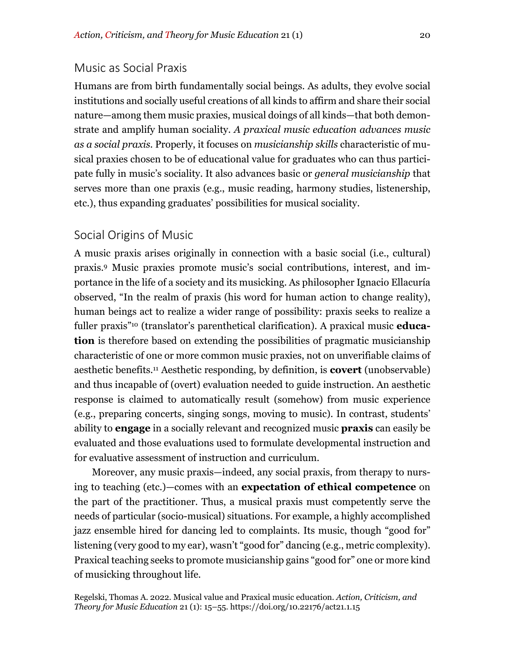## Music as Social Praxis

Humans are from birth fundamentally social beings. As adults, they evolve social institutions and socially useful creations of all kinds to affirm and share their social nature—among them music praxies, musical doings of all kinds—that both demonstrate and amplify human sociality. *A praxical music education advances music as a social praxis.* Properly, it focuses on *musicianship skills* characteristic of musical praxies chosen to be of educational value for graduates who can thus participate fully in music's sociality. It also advances basic or *general musicianship* that serves more than one praxis (e.g., music reading, harmony studies, listenership, etc.), thus expanding graduates' possibilities for musical sociality.

## Social Origins of Music

A music praxis arises originally in connection with a basic social (i.e., cultural) praxis.9 Music praxies promote music's social contributions, interest, and importance in the life of a society and its musicking. As philosopher Ignacio Ellacuría observed, "In the realm of praxis (his word for human action to change reality), human beings act to realize a wider range of possibility: praxis seeks to realize a fuller praxis"10 (translator's parenthetical clarification). A praxical music **education** is therefore based on extending the possibilities of pragmatic musicianship characteristic of one or more common music praxies, not on unverifiable claims of aesthetic benefits.11 Aesthetic responding, by definition, is **covert** (unobservable) and thus incapable of (overt) evaluation needed to guide instruction. An aesthetic response is claimed to automatically result (somehow) from music experience (e.g., preparing concerts, singing songs, moving to music). In contrast, students' ability to **engage** in a socially relevant and recognized music **praxis** can easily be evaluated and those evaluations used to formulate developmental instruction and for evaluative assessment of instruction and curriculum.

Moreover, any music praxis—indeed, any social praxis, from therapy to nursing to teaching (etc.)—comes with an **expectation of ethical competence** on the part of the practitioner. Thus, a musical praxis must competently serve the needs of particular (socio-musical) situations. For example, a highly accomplished jazz ensemble hired for dancing led to complaints. Its music, though "good for" listening (very good to my ear), wasn't "good for" dancing (e.g., metric complexity). Praxical teaching seeks to promote musicianship gains "good for" one or more kind of musicking throughout life.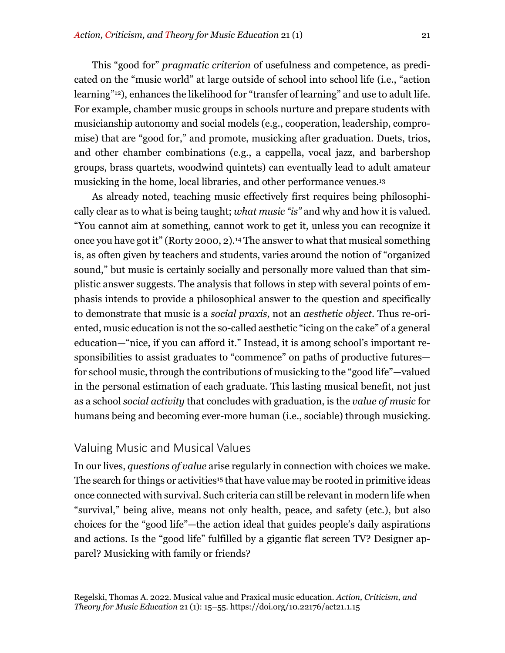This "good for" *pragmatic criterion* of usefulness and competence, as predicated on the "music world" at large outside of school into school life (i.e., "action learning"<sup>12</sup>), enhances the likelihood for "transfer of learning" and use to adult life. For example, chamber music groups in schools nurture and prepare students with musicianship autonomy and social models (e.g., cooperation, leadership, compromise) that are "good for," and promote, musicking after graduation. Duets, trios, and other chamber combinations (e.g., a cappella, vocal jazz, and barbershop groups, brass quartets, woodwind quintets) can eventually lead to adult amateur musicking in the home, local libraries, and other performance venues.13

As already noted, teaching music effectively first requires being philosophically clear as to what is being taught; *what music "is"* and why and how it is valued. "You cannot aim at something, cannot work to get it, unless you can recognize it once you have got it" (Rorty 2000, 2).14 The answer to what that musical something is, as often given by teachers and students, varies around the notion of "organized sound," but music is certainly socially and personally more valued than that simplistic answer suggests. The analysis that follows in step with several points of emphasis intends to provide a philosophical answer to the question and specifically to demonstrate that music is a *social praxis*, not an *aesthetic object*. Thus re-oriented, music education is not the so-called aesthetic "icing on the cake" of a general education—"nice, if you can afford it." Instead, it is among school's important responsibilities to assist graduates to "commence" on paths of productive futures for school music, through the contributions of musicking to the "good life"—valued in the personal estimation of each graduate. This lasting musical benefit, not just as a school *social activity* that concludes with graduation, is the *value of music* for humans being and becoming ever-more human (i.e., sociable) through musicking.

## Valuing Music and Musical Values

In our lives, *questions of value* arise regularly in connection with choices we make. The search for things or activities<sup>15</sup> that have value may be rooted in primitive ideas once connected with survival. Such criteria can still be relevant in modern life when "survival," being alive, means not only health, peace, and safety (etc.), but also choices for the "good life"—the action ideal that guides people's daily aspirations and actions. Is the "good life" fulfilled by a gigantic flat screen TV? Designer apparel? Musicking with family or friends?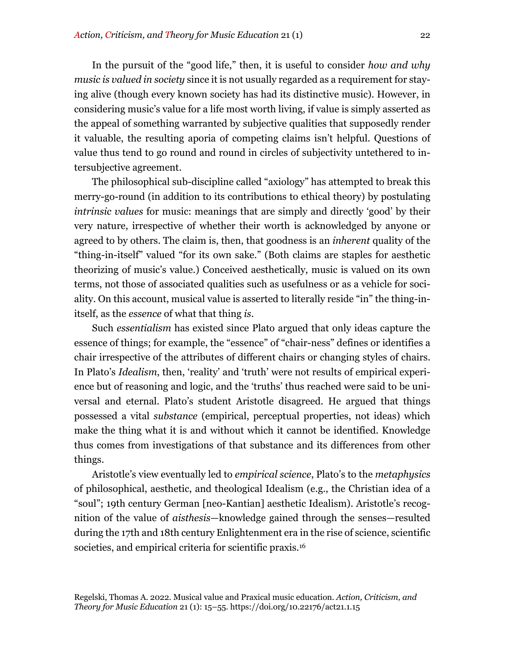In the pursuit of the "good life," then, it is useful to consider *how and why music is valued in society* since it is not usually regarded as a requirement for staying alive (though every known society has had its distinctive music). However, in considering music's value for a life most worth living, if value is simply asserted as the appeal of something warranted by subjective qualities that supposedly render it valuable, the resulting aporia of competing claims isn't helpful. Questions of value thus tend to go round and round in circles of subjectivity untethered to intersubjective agreement.

The philosophical sub-discipline called "axiology" has attempted to break this merry-go-round (in addition to its contributions to ethical theory) by postulating *intrinsic values* for music: meanings that are simply and directly 'good' by their very nature, irrespective of whether their worth is acknowledged by anyone or agreed to by others. The claim is, then, that goodness is an *inherent* quality of the "thing-in-itself" valued "for its own sake." (Both claims are staples for aesthetic theorizing of music's value.) Conceived aesthetically, music is valued on its own terms, not those of associated qualities such as usefulness or as a vehicle for sociality. On this account, musical value is asserted to literally reside "in" the thing-initself, as the *essence* of what that thing *is*.

Such *essentialism* has existed since Plato argued that only ideas capture the essence of things; for example, the "essence" of "chair-ness" defines or identifies a chair irrespective of the attributes of different chairs or changing styles of chairs. In Plato's *Idealism*, then, 'reality' and 'truth' were not results of empirical experience but of reasoning and logic, and the 'truths' thus reached were said to be universal and eternal. Plato's student Aristotle disagreed. He argued that things possessed a vital *substance* (empirical, perceptual properties, not ideas) which make the thing what it is and without which it cannot be identified. Knowledge thus comes from investigations of that substance and its differences from other things.

Aristotle's view eventually led to *empirical science*, Plato's to the *metaphysics* of philosophical, aesthetic, and theological Idealism (e.g., the Christian idea of a "soul"; 19th century German [neo-Kantian] aesthetic Idealism). Aristotle's recognition of the value of *aisthesis*—knowledge gained through the senses—resulted during the 17th and 18th century Enlightenment era in the rise of science, scientific societies, and empirical criteria for scientific praxis.<sup>16</sup>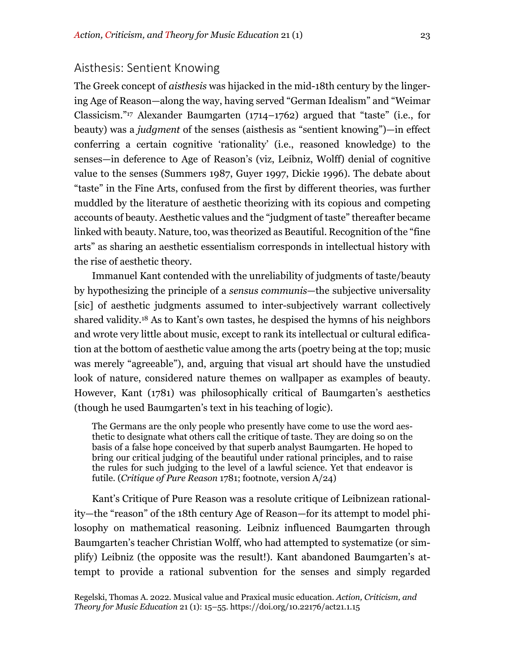## Aisthesis: Sentient Knowing

The Greek concept of *aisthesis* was hijacked in the mid-18th century by the lingering Age of Reason—along the way, having served "German Idealism" and "Weimar Classicism."17 Alexander Baumgarten (1714–1762) argued that "taste" (i.e., for beauty) was a *judgment* of the senses (aisthesis as "sentient knowing")—in effect conferring a certain cognitive 'rationality' (i.e., reasoned knowledge) to the senses—in deference to Age of Reason's (viz, Leibniz, Wolff) denial of cognitive value to the senses (Summers 1987, Guyer 1997, Dickie 1996). The debate about "taste" in the Fine Arts, confused from the first by different theories, was further muddled by the literature of aesthetic theorizing with its copious and competing accounts of beauty. Aesthetic values and the "judgment of taste" thereafter became linked with beauty. Nature, too, was theorized as Beautiful. Recognition of the "fine arts" as sharing an aesthetic essentialism corresponds in intellectual history with the rise of aesthetic theory.

Immanuel Kant contended with the unreliability of judgments of taste/beauty by hypothesizing the principle of a *sensus communis*—the subjective universality [sic] of aesthetic judgments assumed to inter-subjectively warrant collectively shared validity.18 As to Kant's own tastes, he despised the hymns of his neighbors and wrote very little about music, except to rank its intellectual or cultural edification at the bottom of aesthetic value among the arts (poetry being at the top; music was merely "agreeable"), and, arguing that visual art should have the unstudied look of nature, considered nature themes on wallpaper as examples of beauty. However, Kant (1781) was philosophically critical of Baumgarten's aesthetics (though he used Baumgarten's text in his teaching of logic).

The Germans are the only people who presently have come to use the word aesthetic to designate what others call the critique of taste. They are doing so on the basis of a false hope conceived by that superb analyst Baumgarten. He hoped to bring our critical judging of the beautiful under rational principles, and to raise the rules for such judging to the level of a lawful science. Yet that endeavor is futile. (*Critique of Pure Reason* 1781; footnote, version A/24)

Kant's Critique of Pure Reason was a resolute critique of Leibnizean rationality—the "reason" of the 18th century Age of Reason—for its attempt to model philosophy on mathematical reasoning. Leibniz influenced Baumgarten through Baumgarten's teacher Christian Wolff, who had attempted to systematize (or simplify) Leibniz (the opposite was the result!). Kant abandoned Baumgarten's attempt to provide a rational subvention for the senses and simply regarded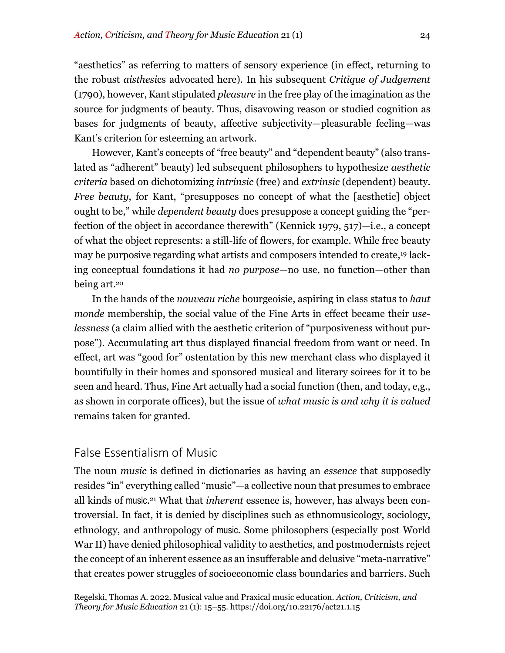"aesthetics" as referring to matters of sensory experience (in effect, returning to the robust *aisthesi*cs advocated here). In his subsequent *Critique of Judgement* (1790), however, Kant stipulated *pleasure* in the free play of the imagination as the source for judgments of beauty. Thus, disavowing reason or studied cognition as bases for judgments of beauty, affective subjectivity—pleasurable feeling—was Kant's criterion for esteeming an artwork.

However, Kant's concepts of "free beauty" and "dependent beauty" (also translated as "adherent" beauty) led subsequent philosophers to hypothesize *aesthetic criteria* based on dichotomizing *intrinsic* (free) and *extrinsic* (dependent) beauty. *Free beauty*, for Kant, "presupposes no concept of what the [aesthetic] object ought to be," while *dependent beauty* does presuppose a concept guiding the "perfection of the object in accordance therewith" (Kennick 1979, 517)—i.e., a concept of what the object represents: a still-life of flowers, for example. While free beauty may be purposive regarding what artists and composers intended to create,19 lacking conceptual foundations it had *no purpose*—no use, no function—other than being art.20

In the hands of the *nouveau riche* bourgeoisie, aspiring in class status to *haut monde* membership, the social value of the Fine Arts in effect became their *uselessness* (a claim allied with the aesthetic criterion of "purposiveness without purpose"). Accumulating art thus displayed financial freedom from want or need. In effect, art was "good for" ostentation by this new merchant class who displayed it bountifully in their homes and sponsored musical and literary soirees for it to be seen and heard. Thus, Fine Art actually had a social function (then, and today, e,g., as shown in corporate offices), but the issue of *what music is and why it is valued* remains taken for granted.

## False Essentialism of Music

The noun *music* is defined in dictionaries as having an *essence* that supposedly resides "in" everything called "music"—a collective noun that presumes to embrace all kinds of music.21 What that *inherent* essence is, however, has always been controversial. In fact, it is denied by disciplines such as ethnomusicology, sociology, ethnology, and anthropology of music. Some philosophers (especially post World War II) have denied philosophical validity to aesthetics, and postmodernists reject the concept of an inherent essence as an insufferable and delusive "meta-narrative" that creates power struggles of socioeconomic class boundaries and barriers. Such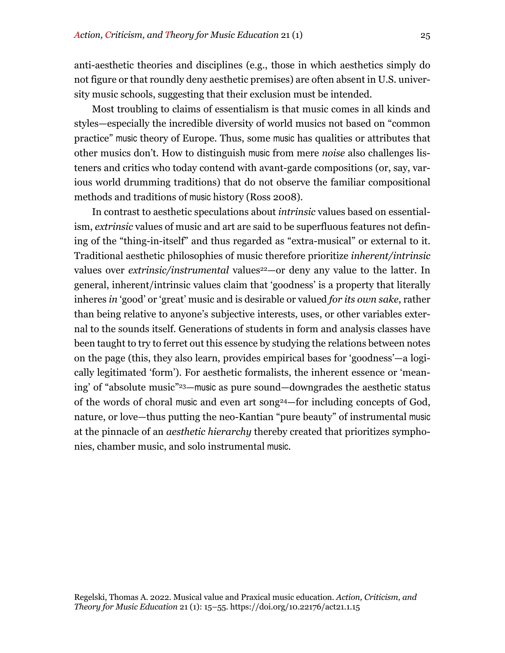anti-aesthetic theories and disciplines (e.g., those in which aesthetics simply do not figure or that roundly deny aesthetic premises) are often absent in U.S. university music schools, suggesting that their exclusion must be intended.

Most troubling to claims of essentialism is that music comes in all kinds and styles—especially the incredible diversity of world musics not based on "common practice" music theory of Europe. Thus, some music has qualities or attributes that other musics don't. How to distinguish music from mere *noise* also challenges listeners and critics who today contend with avant-garde compositions (or, say, various world drumming traditions) that do not observe the familiar compositional methods and traditions of music history (Ross 2008).

In contrast to aesthetic speculations about *intrinsic* values based on essentialism, *extrinsic* values of music and art are said to be superfluous features not defining of the "thing-in-itself" and thus regarded as "extra-musical" or external to it. Traditional aesthetic philosophies of music therefore prioritize *inherent/intrinsic* values over *extrinsic/instrumental* values<sup>22</sup>-or deny any value to the latter. In general, inherent/intrinsic values claim that 'goodness' is a property that literally inheres *in* 'good' or 'great' music and is desirable or valued *for its own sake*, rather than being relative to anyone's subjective interests, uses, or other variables external to the sounds itself. Generations of students in form and analysis classes have been taught to try to ferret out this essence by studying the relations between notes on the page (this, they also learn, provides empirical bases for 'goodness'—a logically legitimated 'form'). For aesthetic formalists, the inherent essence or 'meaning' of "absolute music"23—music as pure sound—downgrades the aesthetic status of the words of choral music and even art song24—for including concepts of God, nature, or love—thus putting the neo-Kantian "pure beauty" of instrumental music at the pinnacle of an *aesthetic hierarchy* thereby created that prioritizes symphonies, chamber music, and solo instrumental music.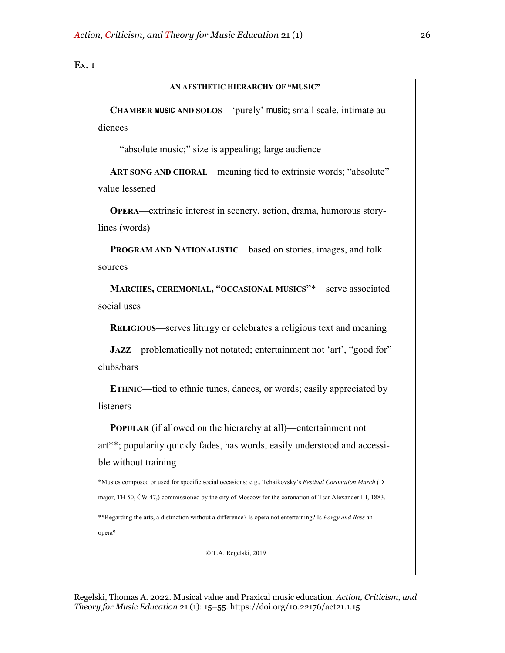#### Ex. 1

#### **AN AESTHETIC HIERARCHY OF "MUSIC"**

**CHAMBER MUSIC AND SOLOS**—'purely' music; small scale, intimate audiences

—"absolute music;" size is appealing; large audience

**ART SONG AND CHORAL**—meaning tied to extrinsic words; "absolute" value lessened

**OPERA**—extrinsic interest in scenery, action, drama, humorous storylines (words)

**PROGRAM AND NATIONALISTIC—based on stories, images, and folk** sources

**MARCHES, CEREMONIAL, "OCCASIONAL MUSICS"**\*—serve associated social uses

**RELIGIOUS**—serves liturgy or celebrates a religious text and meaning

**JAZZ—problematically not notated; entertainment not 'art', "good for"** clubs/bars

**ETHNIC—tied to ethnic tunes, dances, or words; easily appreciated by** listeners

**POPULAR** (if allowed on the hierarchy at all)—entertainment not art\*\*; popularity quickly fades, has words, easily understood and accessible without training

\*Musics composed or used for specific social occasions*;* e.g., Tchaikovsky's *Festival Coronation March* (D major, TH 50, ČW 47,) commissioned by the city of Moscow for the coronation of Tsar Alexander III, 1883. \*\*Regarding the arts, a distinction without a difference? Is opera not entertaining? Is *Porgy and Bess* an

opera?

© T.A. Regelski, 2019

Regelski, Thomas A. 2022. Musical value and Praxical music education. *Action, Criticism, and Theory for Music Education* 21 (1): 15–55. https://doi.org/10.22176/act21.1.15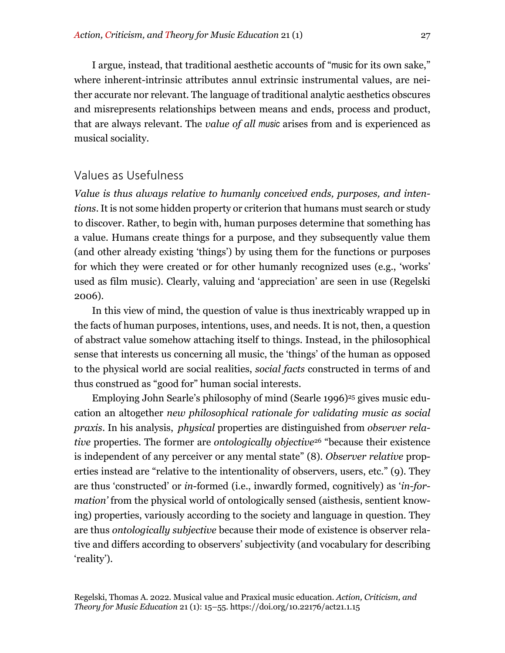I argue, instead, that traditional aesthetic accounts of "music for its own sake," where inherent-intrinsic attributes annul extrinsic instrumental values, are neither accurate nor relevant. The language of traditional analytic aesthetics obscures and misrepresents relationships between means and ends, process and product, that are always relevant. The *value of all music* arises from and is experienced as musical sociality.

## Values as Usefulness

*Value is thus always relative to humanly conceived ends, purposes, and intentions*. It is not some hidden property or criterion that humans must search or study to discover. Rather, to begin with, human purposes determine that something has a value. Humans create things for a purpose, and they subsequently value them (and other already existing 'things') by using them for the functions or purposes for which they were created or for other humanly recognized uses (e.g., 'works' used as film music). Clearly, valuing and 'appreciation' are seen in use (Regelski 2006).

In this view of mind, the question of value is thus inextricably wrapped up in the facts of human purposes, intentions, uses, and needs. It is not, then, a question of abstract value somehow attaching itself to things. Instead, in the philosophical sense that interests us concerning all music, the 'things' of the human as opposed to the physical world are social realities, *social facts* constructed in terms of and thus construed as "good for" human social interests.

Employing John Searle's philosophy of mind (Searle 1996)<sup>25</sup> gives music education an altogether *new philosophical rationale for validating music as social praxis*. In his analysis, *physical* properties are distinguished from *observer relative* properties. The former are *ontologically objective*<sup>26</sup> "because their existence is independent of any perceiver or any mental state" (8). *Observer relative* properties instead are "relative to the intentionality of observers, users, etc." (9). They are thus 'constructed' or *in*-formed (i.e., inwardly formed, cognitively) as '*in-formation'* from the physical world of ontologically sensed (aisthesis, sentient knowing) properties, variously according to the society and language in question. They are thus *ontologically subjective* because their mode of existence is observer relative and differs according to observers' subjectivity (and vocabulary for describing 'reality').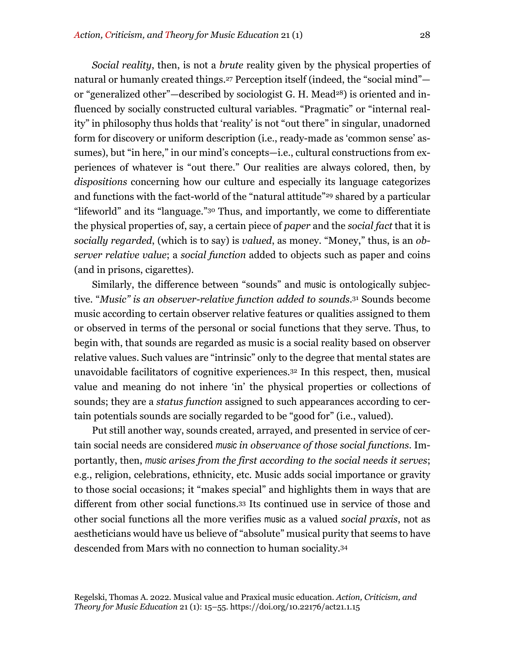*Social reality*, then, is not a *brute* reality given by the physical properties of natural or humanly created things.<sup>27</sup> Perception itself (indeed, the "social mind" or "generalized other"—described by sociologist G. H. Mead<sup>28</sup>) is oriented and influenced by socially constructed cultural variables. "Pragmatic" or "internal reality" in philosophy thus holds that 'reality' is not "out there" in singular, unadorned form for discovery or uniform description (i.e., ready-made as 'common sense' assumes), but "in here," in our mind's concepts—i.e., cultural constructions from experiences of whatever is "out there." Our realities are always colored, then, by *dispositions* concerning how our culture and especially its language categorizes and functions with the fact-world of the "natural attitude"29 shared by a particular "lifeworld" and its "language."30 Thus, and importantly, we come to differentiate the physical properties of, say, a certain piece of *paper* and the *social fact* that it is *socially regarded*, (which is to say) is *valued*, as money. "Money," thus, is an *observer relative value*; a *social function* added to objects such as paper and coins (and in prisons, cigarettes).

Similarly, the difference between "sounds" and music is ontologically subjective. "*Music" is an observer-relative function added to sounds*.31 Sounds become music according to certain observer relative features or qualities assigned to them or observed in terms of the personal or social functions that they serve. Thus, to begin with, that sounds are regarded as music is a social reality based on observer relative values. Such values are "intrinsic" only to the degree that mental states are unavoidable facilitators of cognitive experiences.32 In this respect, then, musical value and meaning do not inhere 'in' the physical properties or collections of sounds; they are a *status function* assigned to such appearances according to certain potentials sounds are socially regarded to be "good for" (i.e., valued).

Put still another way, sounds created, arrayed, and presented in service of certain social needs are considered *music in observance of those social functions*. Importantly, then, *music arises from the first according to the social needs it serves*; e.g., religion, celebrations, ethnicity, etc. Music adds social importance or gravity to those social occasions; it "makes special" and highlights them in ways that are different from other social functions.33 Its continued use in service of those and other social functions all the more verifies music as a valued *social praxis*, not as aestheticians would have us believe of "absolute" musical purity that seems to have descended from Mars with no connection to human sociality.34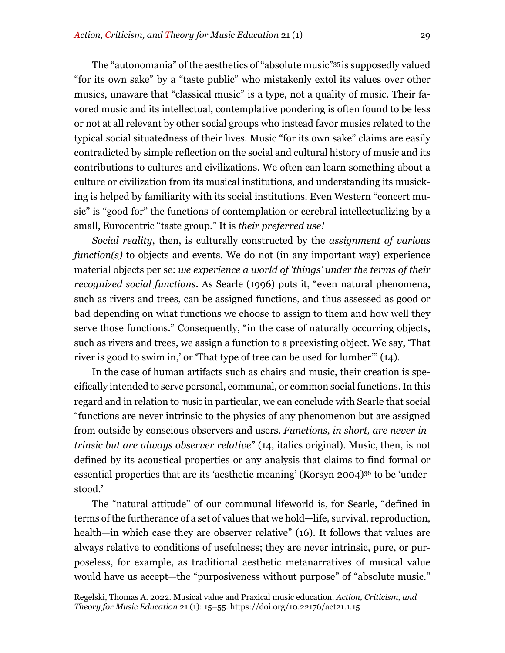The "autonomania" of the aesthetics of "absolute music"35 is supposedly valued "for its own sake" by a "taste public" who mistakenly extol its values over other musics, unaware that "classical music" is a type, not a quality of music. Their favored music and its intellectual, contemplative pondering is often found to be less or not at all relevant by other social groups who instead favor musics related to the typical social situatedness of their lives. Music "for its own sake" claims are easily contradicted by simple reflection on the social and cultural history of music and its contributions to cultures and civilizations. We often can learn something about a culture or civilization from its musical institutions, and understanding its musicking is helped by familiarity with its social institutions. Even Western "concert music" is "good for" the functions of contemplation or cerebral intellectualizing by a small, Eurocentric "taste group." It is *their preferred use!*

*Social reality*, then, is culturally constructed by the *assignment of various function(s)* to objects and events. We do not (in any important way) experience material objects per se: *we experience a world of 'things' under the terms of their recognized social functions*. As Searle (1996) puts it, "even natural phenomena, such as rivers and trees, can be assigned functions, and thus assessed as good or bad depending on what functions we choose to assign to them and how well they serve those functions." Consequently, "in the case of naturally occurring objects, such as rivers and trees, we assign a function to a preexisting object. We say, 'That river is good to swim in,' or 'That type of tree can be used for lumber'" (14).

In the case of human artifacts such as chairs and music, their creation is specifically intended to serve personal, communal, or common social functions. In this regard and in relation to music in particular, we can conclude with Searle that social "functions are never intrinsic to the physics of any phenomenon but are assigned from outside by conscious observers and users. *Functions, in short, are never intrinsic but are always observer relative*" (14, italics original). Music, then, is not defined by its acoustical properties or any analysis that claims to find formal or essential properties that are its 'aesthetic meaning' (Korsyn 2004)36 to be 'understood.'

The "natural attitude" of our communal lifeworld is, for Searle, "defined in terms of the furtherance of a set of values that we hold—life, survival, reproduction, health—in which case they are observer relative" (16). It follows that values are always relative to conditions of usefulness; they are never intrinsic, pure, or purposeless, for example, as traditional aesthetic metanarratives of musical value would have us accept—the "purposiveness without purpose" of "absolute music."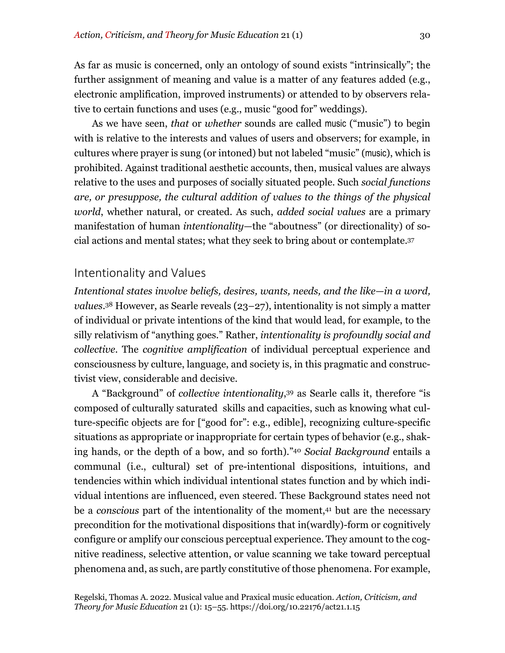As far as music is concerned, only an ontology of sound exists "intrinsically"; the further assignment of meaning and value is a matter of any features added (e.g., electronic amplification, improved instruments) or attended to by observers relative to certain functions and uses (e.g., music "good for" weddings).

As we have seen, *that* or *whether* sounds are called music ("music") to begin with is relative to the interests and values of users and observers; for example, in cultures where prayer is sung (or intoned) but not labeled "music" (music), which is prohibited. Against traditional aesthetic accounts, then, musical values are always relative to the uses and purposes of socially situated people. Such *social functions are, or presuppose, the cultural addition of values to the things of the physical world*, whether natural, or created. As such, *added social values* are a primary manifestation of human *intentionality*—the "aboutness" (or directionality) of social actions and mental states; what they seek to bring about or contemplate.37

#### Intentionality and Values

*Intentional states involve beliefs, desires, wants, needs, and the like—in a word, values*.38 However, as Searle reveals (23–27), intentionality is not simply a matter of individual or private intentions of the kind that would lead, for example, to the silly relativism of "anything goes." Rather, *intentionality is profoundly social and collective*. The *cognitive amplification* of individual perceptual experience and consciousness by culture, language, and society is, in this pragmatic and constructivist view, considerable and decisive.

A "Background" of *collective intentionality*,39 as Searle calls it, therefore "is composed of culturally saturated skills and capacities, such as knowing what culture-specific objects are for ["good for": e.g., edible], recognizing culture-specific situations as appropriate or inappropriate for certain types of behavior (e.g., shaking hands, or the depth of a bow, and so forth)."40 *Social Background* entails a communal (i.e., cultural) set of pre-intentional dispositions, intuitions, and tendencies within which individual intentional states function and by which individual intentions are influenced, even steered. These Background states need not be a *conscious* part of the intentionality of the moment,<sup>41</sup> but are the necessary precondition for the motivational dispositions that in(wardly)-form or cognitively configure or amplify our conscious perceptual experience. They amount to the cognitive readiness, selective attention, or value scanning we take toward perceptual phenomena and, as such, are partly constitutive of those phenomena. For example,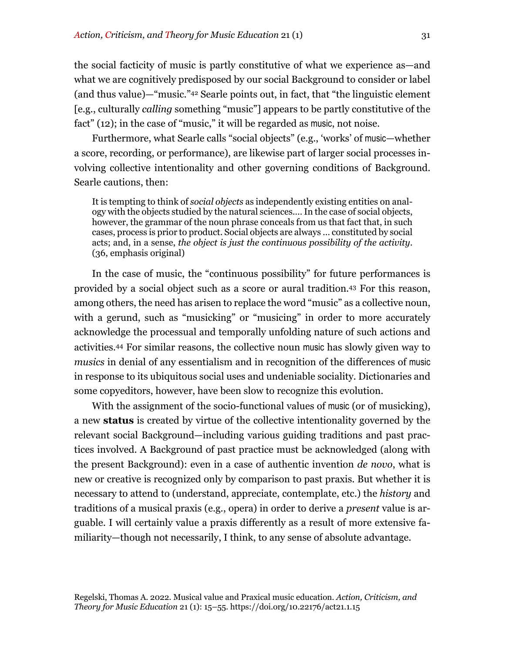the social facticity of music is partly constitutive of what we experience as—and what we are cognitively predisposed by our social Background to consider or label (and thus value)—"music."42 Searle points out, in fact, that "the linguistic element [e.g., culturally *calling* something "music"] appears to be partly constitutive of the fact" (12); in the case of "music," it will be regarded as music, not noise.

Furthermore, what Searle calls "social objects" (e.g., 'works' of music—whether a score, recording, or performance), are likewise part of larger social processes involving collective intentionality and other governing conditions of Background. Searle cautions, then:

It is tempting to think of *social objects* as independently existing entities on analogy with the objects studied by the natural sciences.… In the case of social objects, however, the grammar of the noun phrase conceals from us that fact that, in such cases, process is prior to product. Social objects are always … constituted by social acts; and, in a sense, *the object is just the continuous possibility of the activity*. (36, emphasis original)

In the case of music, the "continuous possibility" for future performances is provided by a social object such as a score or aural tradition.43 For this reason, among others, the need has arisen to replace the word "music" as a collective noun, with a gerund, such as "musicking" or "musicing" in order to more accurately acknowledge the processual and temporally unfolding nature of such actions and activities.44 For similar reasons, the collective noun music has slowly given way to *musics* in denial of any essentialism and in recognition of the differences of music in response to its ubiquitous social uses and undeniable sociality. Dictionaries and some copyeditors, however, have been slow to recognize this evolution.

With the assignment of the socio-functional values of music (or of musicking), a new **status** is created by virtue of the collective intentionality governed by the relevant social Background—including various guiding traditions and past practices involved. A Background of past practice must be acknowledged (along with the present Background): even in a case of authentic invention *de novo*, what is new or creative is recognized only by comparison to past praxis. But whether it is necessary to attend to (understand, appreciate, contemplate, etc.) the *history* and traditions of a musical praxis (e.g., opera) in order to derive a *present* value is arguable. I will certainly value a praxis differently as a result of more extensive familiarity—though not necessarily, I think, to any sense of absolute advantage.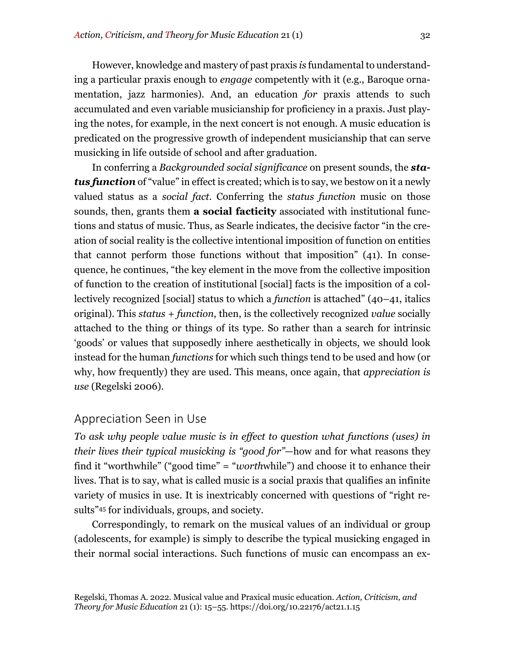However, knowledge and mastery of past praxis *is* fundamental to understanding a particular praxis enough to *engage* competently with it (e.g., Baroque ornamentation, jazz harmonies). And, an education *for* praxis attends to such accumulated and even variable musicianship for proficiency in a praxis. Just playing the notes, for example, in the next concert is not enough. A music education is predicated on the progressive growth of independent musicianship that can serve musicking in life outside of school and after graduation.

In conferring a *Backgrounded social significance* on present sounds, the *status function* of "value" in effect is created; which is to say, we bestow on it a newly valued status as a *social fact*. Conferring the *status function* music on those sounds, then, grants them **a social facticity** associated with institutional functions and status of music. Thus, as Searle indicates, the decisive factor "in the creation of social reality is the collective intentional imposition of function on entities that cannot perform those functions without that imposition" (41). In consequence, he continues, "the key element in the move from the collective imposition of function to the creation of institutional [social] facts is the imposition of a collectively recognized [social] status to which a *function* is attached" (40–41, italics original). This *status + function*, then, is the collectively recognized *value* socially attached to the thing or things of its type. So rather than a search for intrinsic 'goods' or values that supposedly inhere aesthetically in objects, we should look instead for the human *functions* for which such things tend to be used and how (or why, how frequently) they are used. This means, once again, that *appreciation is use* (Regelski 2006).

#### Appreciation Seen in Use

*To ask why people value music is in effect to question what functions (uses) in their lives their typical musicking is "good for"*—how and for what reasons they find it "worthwhile" ("good time" = "*worth*while") and choose it to enhance their lives. That is to say, what is called music is a social praxis that qualifies an infinite variety of musics in use. It is inextricably concerned with questions of "right results"45 for individuals, groups, and society.

Correspondingly, to remark on the musical values of an individual or group (adolescents, for example) is simply to describe the typical musicking engaged in their normal social interactions. Such functions of music can encompass an ex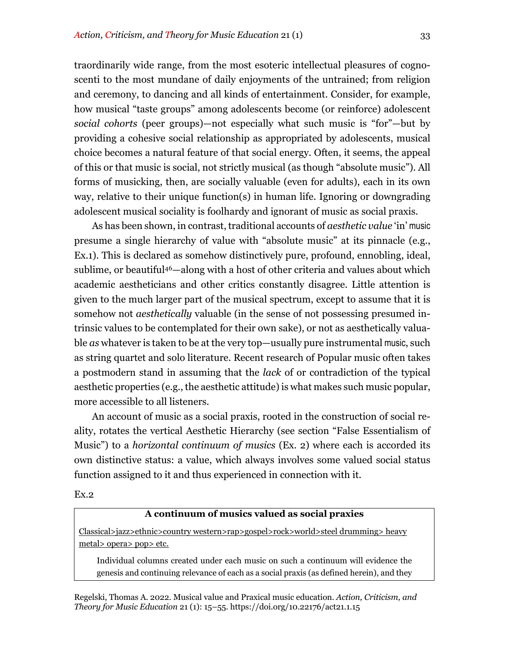traordinarily wide range, from the most esoteric intellectual pleasures of cognoscenti to the most mundane of daily enjoyments of the untrained; from religion and ceremony, to dancing and all kinds of entertainment. Consider, for example, how musical "taste groups" among adolescents become (or reinforce) adolescent *social cohorts* (peer groups)—not especially what such music is "for"—but by providing a cohesive social relationship as appropriated by adolescents, musical choice becomes a natural feature of that social energy. Often, it seems, the appeal of this or that music is social, not strictly musical (as though "absolute music"). All forms of musicking, then, are socially valuable (even for adults), each in its own way, relative to their unique function(s) in human life. Ignoring or downgrading adolescent musical sociality is foolhardy and ignorant of music as social praxis.

As has been shown, in contrast, traditional accounts of *aesthetic value* 'in' music presume a single hierarchy of value with "absolute music" at its pinnacle (e.g., Ex.1). This is declared as somehow distinctively pure, profound, ennobling, ideal, sublime, or beautiful46—along with a host of other criteria and values about which academic aestheticians and other critics constantly disagree. Little attention is given to the much larger part of the musical spectrum, except to assume that it is somehow not *aesthetically* valuable (in the sense of not possessing presumed intrinsic values to be contemplated for their own sake), or not as aesthetically valuable *as* whatever is taken to be at the very top—usually pure instrumental music, such as string quartet and solo literature. Recent research of Popular music often takes a postmodern stand in assuming that the *lack* of or contradiction of the typical aesthetic properties (e.g., the aesthetic attitude) is what makes such music popular, more accessible to all listeners.

An account of music as a social praxis, rooted in the construction of social reality, rotates the vertical Aesthetic Hierarchy (see section "False Essentialism of Music") to a *horizontal continuum of musics* (Ex. 2) where each is accorded its own distinctive status: a value, which always involves some valued social status function assigned to it and thus experienced in connection with it.

Ex.2

#### **A continuum of musics valued as social praxies**

Classical>jazz>ethnic>country western>rap>gospel>rock>world>steel drumming> heavy metal> opera> pop> etc.

Individual columns created under each music on such a continuum will evidence the genesis and continuing relevance of each as a social praxis (as defined herein), and they

Regelski, Thomas A. 2022. Musical value and Praxical music education. *Action, Criticism, and Theory for Music Education* 21 (1): 15–55. https://doi.org/10.22176/act21.1.15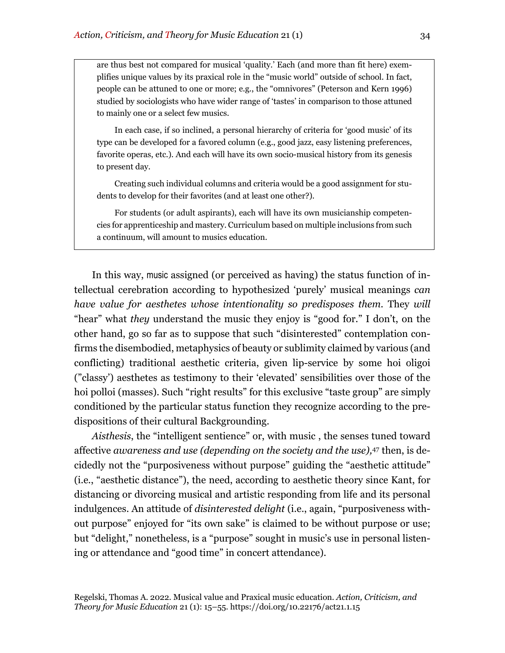are thus best not compared for musical 'quality.' Each (and more than fit here) exemplifies unique values by its praxical role in the "music world" outside of school. In fact, people can be attuned to one or more; e.g., the "omnivores" (Peterson and Kern 1996) studied by sociologists who have wider range of 'tastes' in comparison to those attuned to mainly one or a select few musics.

In each case, if so inclined, a personal hierarchy of criteria for 'good music' of its type can be developed for a favored column (e.g., good jazz, easy listening preferences, favorite operas, etc.). And each will have its own socio-musical history from its genesis to present day.

Creating such individual columns and criteria would be a good assignment for students to develop for their favorites (and at least one other?).

For students (or adult aspirants), each will have its own musicianship competencies for apprenticeship and mastery. Curriculum based on multiple inclusions from such a continuum, will amount to musics education.

In this way, music assigned (or perceived as having) the status function of intellectual cerebration according to hypothesized 'purely' musical meanings *can have value for aesthetes whose intentionality so predisposes them.* They *will* "hear" what *they* understand the music they enjoy is "good for." I don't, on the other hand, go so far as to suppose that such "disinterested" contemplation confirms the disembodied, metaphysics of beauty or sublimity claimed by various (and conflicting) traditional aesthetic criteria, given lip-service by some hoi oligoi ("classy') aesthetes as testimony to their 'elevated' sensibilities over those of the hoi polloi (masses). Such "right results" for this exclusive "taste group" are simply conditioned by the particular status function they recognize according to the predispositions of their cultural Backgrounding.

*Aisthesis*, the "intelligent sentience" or, with music , the senses tuned toward affective *awareness and use (depending on the society and the use),*<sup>47</sup> then, is decidedly not the "purposiveness without purpose" guiding the "aesthetic attitude" (i.e., "aesthetic distance"), the need, according to aesthetic theory since Kant, for distancing or divorcing musical and artistic responding from life and its personal indulgences. An attitude of *disinterested delight* (i.e., again, "purposiveness without purpose" enjoyed for "its own sake" is claimed to be without purpose or use; but "delight," nonetheless, is a "purpose" sought in music's use in personal listening or attendance and "good time" in concert attendance).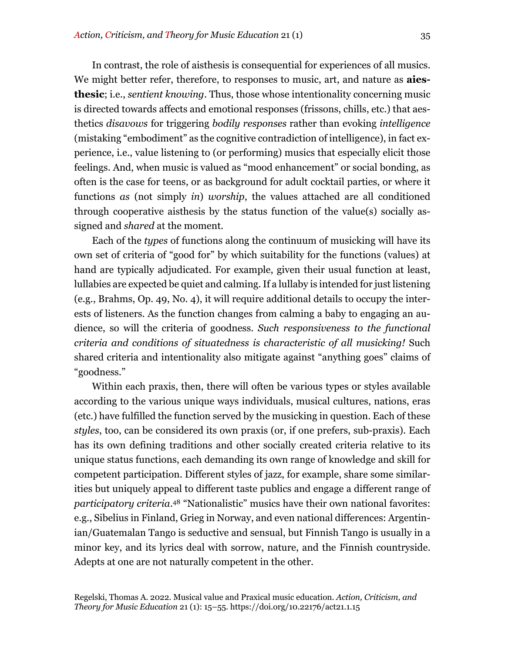In contrast, the role of aisthesis is consequential for experiences of all musics. We might better refer, therefore, to responses to music, art, and nature as **aiesthesic**; i.e., *sentient knowing*. Thus, those whose intentionality concerning music is directed towards affects and emotional responses (frissons, chills, etc.) that aesthetics *disavows* for triggering *bodily responses* rather than evoking *intelligence* (mistaking "embodiment" as the cognitive contradiction of intelligence), in fact experience, i.e., value listening to (or performing) musics that especially elicit those feelings. And, when music is valued as "mood enhancement" or social bonding, as often is the case for teens, or as background for adult cocktail parties, or where it functions *as* (not simply *in*) *worship*, the values attached are all conditioned through cooperative aisthesis by the status function of the value(s) socially assigned and *shared* at the moment.

Each of the *types* of functions along the continuum of musicking will have its own set of criteria of "good for" by which suitability for the functions (values) at hand are typically adjudicated. For example, given their usual function at least, lullabies are expected be quiet and calming. If a lullaby is intended for just listening (e.g., Brahms, Op. 49, No. 4), it will require additional details to occupy the interests of listeners. As the function changes from calming a baby to engaging an audience, so will the criteria of goodness. *Such responsiveness to the functional criteria and conditions of situatedness is characteristic of all musicking!* Such shared criteria and intentionality also mitigate against "anything goes" claims of "goodness."

Within each praxis, then, there will often be various types or styles available according to the various unique ways individuals, musical cultures, nations, eras (etc.) have fulfilled the function served by the musicking in question. Each of these *styles*, too, can be considered its own praxis (or, if one prefers, sub-praxis). Each has its own defining traditions and other socially created criteria relative to its unique status functions, each demanding its own range of knowledge and skill for competent participation. Different styles of jazz, for example, share some similarities but uniquely appeal to different taste publics and engage a different range of *participatory criteria*.48 "Nationalistic" musics have their own national favorites: e.g., Sibelius in Finland, Grieg in Norway, and even national differences: Argentinian/Guatemalan Tango is seductive and sensual, but Finnish Tango is usually in a minor key, and its lyrics deal with sorrow, nature, and the Finnish countryside. Adepts at one are not naturally competent in the other.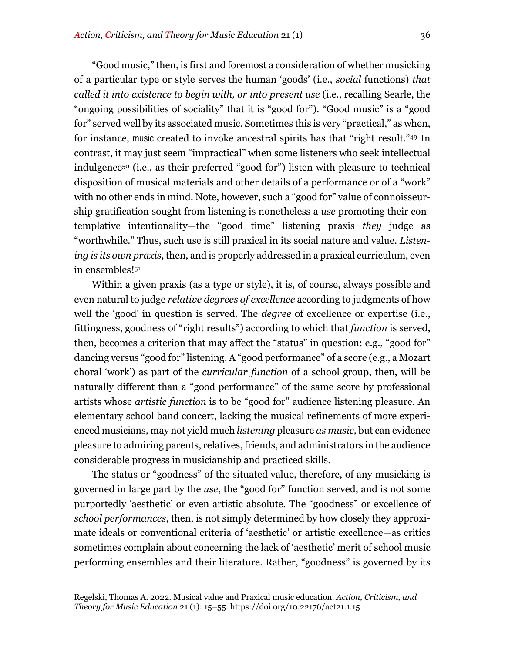"Good music," then, is first and foremost a consideration of whether musicking of a particular type or style serves the human 'goods' (i.e., *social* functions) *that called it into existence to begin with, or into present use* (i.e., recalling Searle, the "ongoing possibilities of sociality" that it is "good for"). "Good music" is a "good for" served well by its associated music. Sometimes this is very "practical," as when, for instance, music created to invoke ancestral spirits has that "right result."49 In contrast, it may just seem "impractical" when some listeners who seek intellectual indulgence50 (i.e., as their preferred "good for") listen with pleasure to technical disposition of musical materials and other details of a performance or of a "work" with no other ends in mind. Note, however, such a "good for" value of connoisseurship gratification sought from listening is nonetheless a *use* promoting their contemplative intentionality—the "good time" listening praxis *they* judge as "worthwhile." Thus, such use is still praxical in its social nature and value. *Listening is its own praxis*, then, and is properly addressed in a praxical curriculum, even in ensembles!51

Within a given praxis (as a type or style), it is, of course, always possible and even natural to judge *relative degrees of excellence* according to judgments of how well the 'good' in question is served. The *degree* of excellence or expertise (i.e., fittingness, goodness of "right results") according to which that *function* is served, then, becomes a criterion that may affect the "status" in question: e.g., "good for" dancing versus "good for" listening. A "good performance" of a score (e.g., a Mozart choral 'work') as part of the *curricular function* of a school group, then, will be naturally different than a "good performance" of the same score by professional artists whose *artistic function* is to be "good for" audience listening pleasure. An elementary school band concert, lacking the musical refinements of more experienced musicians, may not yield much *listening* pleasure *as music*, but can evidence pleasure to admiring parents, relatives, friends, and administrators in the audience considerable progress in musicianship and practiced skills.

The status or "goodness" of the situated value, therefore, of any musicking is governed in large part by the *use*, the "good for" function served, and is not some purportedly 'aesthetic' or even artistic absolute. The "goodness" or excellence of *school performances*, then, is not simply determined by how closely they approximate ideals or conventional criteria of 'aesthetic' or artistic excellence—as critics sometimes complain about concerning the lack of 'aesthetic' merit of school music performing ensembles and their literature. Rather, "goodness" is governed by its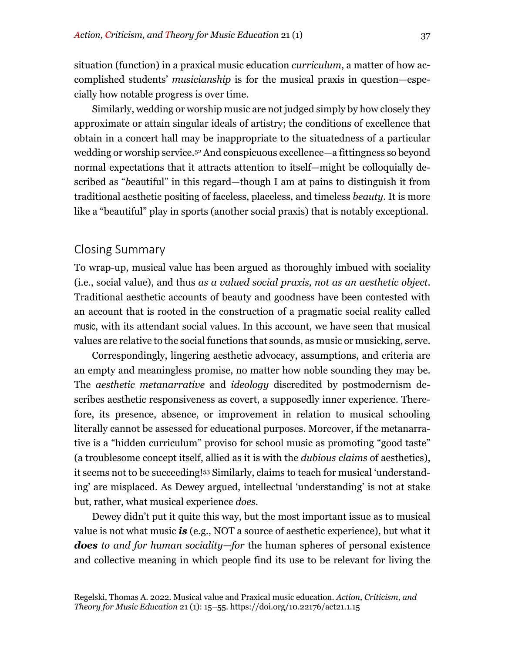situation (function) in a praxical music education *curriculum*, a matter of how accomplished students' *musicianship* is for the musical praxis in question—especially how notable progress is over time.

Similarly, wedding or worship music are not judged simply by how closely they approximate or attain singular ideals of artistry; the conditions of excellence that obtain in a concert hall may be inappropriate to the situatedness of a particular wedding or worship service.52 And conspicuous excellence—a fittingness so beyond normal expectations that it attracts attention to itself—might be colloquially described as "*b*eautiful" in this regard—though I am at pains to distinguish it from traditional aesthetic positing of faceless, placeless, and timeless *beauty*. It is more like a "beautiful" play in sports (another social praxis) that is notably exceptional.

## Closing Summary

To wrap-up, musical value has been argued as thoroughly imbued with sociality (i.e., social value), and thus *as a valued social praxis, not as an aesthetic object*. Traditional aesthetic accounts of beauty and goodness have been contested with an account that is rooted in the construction of a pragmatic social reality called music, with its attendant social values. In this account, we have seen that musical values are relative to the social functions that sounds, as music or musicking, serve.

Correspondingly, lingering aesthetic advocacy, assumptions, and criteria are an empty and meaningless promise, no matter how noble sounding they may be. The *aesthetic metanarrative* and *ideology* discredited by postmodernism describes aesthetic responsiveness as covert, a supposedly inner experience. Therefore, its presence, absence, or improvement in relation to musical schooling literally cannot be assessed for educational purposes. Moreover, if the metanarrative is a "hidden curriculum" proviso for school music as promoting "good taste" (a troublesome concept itself, allied as it is with the *dubious claims* of aesthetics), it seems not to be succeeding!53 Similarly, claims to teach for musical 'understanding' are misplaced. As Dewey argued, intellectual 'understanding' is not at stake but, rather, what musical experience *does*.

Dewey didn't put it quite this way, but the most important issue as to musical value is not what music *is* (e.g., NOT a source of aesthetic experience), but what it *does to and for human sociality—for* the human spheres of personal existence and collective meaning in which people find its use to be relevant for living the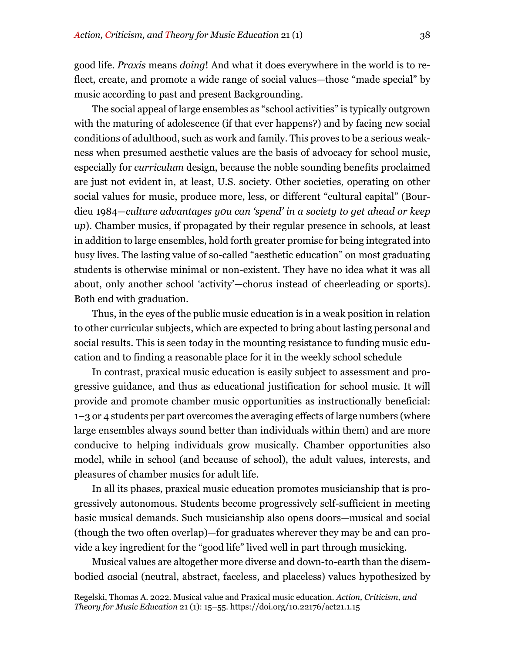good life. *Praxis* means *doing*! And what it does everywhere in the world is to reflect, create, and promote a wide range of social values—those "made special" by music according to past and present Backgrounding.

The social appeal of large ensembles as "school activities" is typically outgrown with the maturing of adolescence (if that ever happens?) and by facing new social conditions of adulthood, such as work and family. This proves to be a serious weakness when presumed aesthetic values are the basis of advocacy for school music, especially for *curriculum* design, because the noble sounding benefits proclaimed are just not evident in, at least, U.S. society. Other societies, operating on other social values for music, produce more, less, or different "cultural capital" (Bourdieu 1984—*culture advantages y0u can 'spend' in a society to get ahead or keep up*). Chamber musics, if propagated by their regular presence in schools, at least in addition to large ensembles, hold forth greater promise for being integrated into busy lives. The lasting value of so-called "aesthetic education" on most graduating students is otherwise minimal or non-existent. They have no idea what it was all about, only another school 'activity'—chorus instead of cheerleading or sports). Both end with graduation.

Thus, in the eyes of the public music education is in a weak position in relation to other curricular subjects, which are expected to bring about lasting personal and social results. This is seen today in the mounting resistance to funding music education and to finding a reasonable place for it in the weekly school schedule

In contrast, praxical music education is easily subject to assessment and progressive guidance, and thus as educational justification for school music. It will provide and promote chamber music opportunities as instructionally beneficial: 1–3 or 4 students per part overcomes the averaging effects of large numbers (where large ensembles always sound better than individuals within them) and are more conducive to helping individuals grow musically. Chamber opportunities also model, while in school (and because of school), the adult values, interests, and pleasures of chamber musics for adult life.

In all its phases, praxical music education promotes musicianship that is progressively autonomous. Students become progressively self-sufficient in meeting basic musical demands. Such musicianship also opens doors—musical and social (though the two often overlap)—for graduates wherever they may be and can provide a key ingredient for the "good life" lived well in part through musicking.

Musical values are altogether more diverse and down-to-earth than the disembodied *a*social (neutral, abstract, faceless, and placeless) values hypothesized by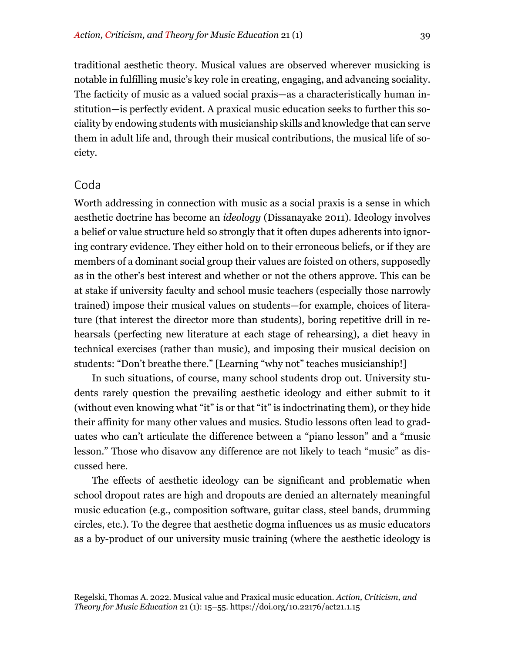traditional aesthetic theory. Musical values are observed wherever musicking is notable in fulfilling music's key role in creating, engaging, and advancing sociality. The facticity of music as a valued social praxis—as a characteristically human institution—is perfectly evident. A praxical music education seeks to further this sociality by endowing students with musicianship skills and knowledge that can serve them in adult life and, through their musical contributions, the musical life of society.

#### Coda

Worth addressing in connection with music as a social praxis is a sense in which aesthetic doctrine has become an *ideology* (Dissanayake 2011). Ideology involves a belief or value structure held so strongly that it often dupes adherents into ignoring contrary evidence. They either hold on to their erroneous beliefs, or if they are members of a dominant social group their values are foisted on others, supposedly as in the other's best interest and whether or not the others approve. This can be at stake if university faculty and school music teachers (especially those narrowly trained) impose their musical values on students—for example, choices of literature (that interest the director more than students), boring repetitive drill in rehearsals (perfecting new literature at each stage of rehearsing), a diet heavy in technical exercises (rather than music), and imposing their musical decision on students: "Don't breathe there." [Learning "why not" teaches musicianship!]

In such situations, of course, many school students drop out. University students rarely question the prevailing aesthetic ideology and either submit to it (without even knowing what "it" is or that "it" is indoctrinating them), or they hide their affinity for many other values and musics. Studio lessons often lead to graduates who can't articulate the difference between a "piano lesson" and a "music lesson." Those who disavow any difference are not likely to teach "music" as discussed here.

The effects of aesthetic ideology can be significant and problematic when school dropout rates are high and dropouts are denied an alternately meaningful music education (e.g., composition software, guitar class, steel bands, drumming circles, etc.). To the degree that aesthetic dogma influences us as music educators as a by-product of our university music training (where the aesthetic ideology is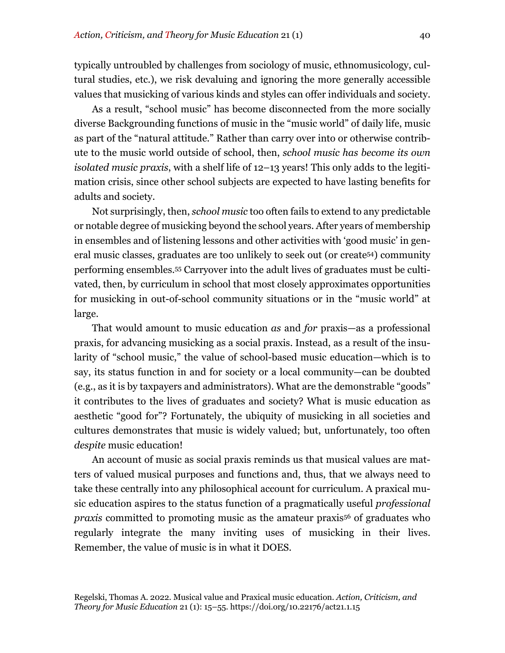typically untroubled by challenges from sociology of music, ethnomusicology, cultural studies, etc.), we risk devaluing and ignoring the more generally accessible values that musicking of various kinds and styles can offer individuals and society.

As a result, "school music" has become disconnected from the more socially diverse Backgrounding functions of music in the "music world" of daily life, music as part of the "natural attitude." Rather than carry over into or otherwise contribute to the music world outside of school, then, *school music has become its own isolated music praxis*, with a shelf life of 12–13 years! This only adds to the legitimation crisis, since other school subjects are expected to have lasting benefits for adults and society.

Not surprisingly, then, *school music* too often fails to extend to any predictable or notable degree of musicking beyond the school years. After years of membership in ensembles and of listening lessons and other activities with 'good music' in general music classes, graduates are too unlikely to seek out (or create54) community performing ensembles.55 Carryover into the adult lives of graduates must be cultivated, then, by curriculum in school that most closely approximates opportunities for musicking in out-of-school community situations or in the "music world" at large.

That would amount to music education *as* and *for* praxis—as a professional praxis, for advancing musicking as a social praxis. Instead, as a result of the insularity of "school music," the value of school-based music education—which is to say, its status function in and for society or a local community—can be doubted (e.g., as it is by taxpayers and administrators). What are the demonstrable "goods" it contributes to the lives of graduates and society? What is music education as aesthetic "good for"? Fortunately, the ubiquity of musicking in all societies and cultures demonstrates that music is widely valued; but, unfortunately, too often *despite* music education!

An account of music as social praxis reminds us that musical values are matters of valued musical purposes and functions and, thus, that we always need to take these centrally into any philosophical account for curriculum. A praxical music education aspires to the status function of a pragmatically useful *professional praxis* committed to promoting music as the amateur praxis<sup>56</sup> of graduates who regularly integrate the many inviting uses of musicking in their lives. Remember, the value of music is in what it DOES.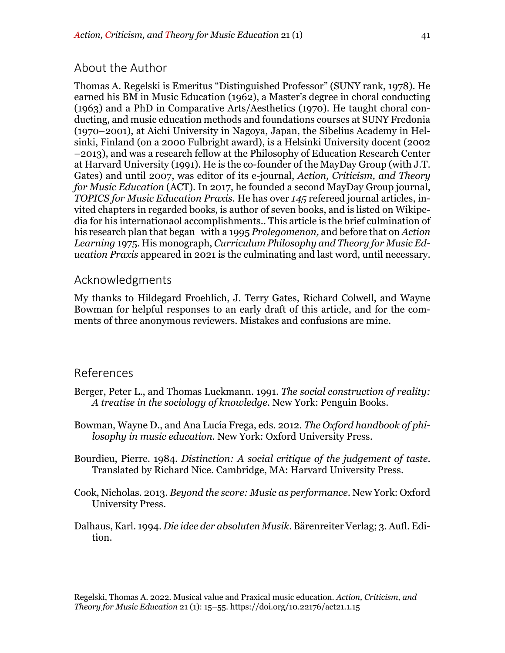## About the Author

Thomas A. Regelski is Emeritus "Distinguished Professor" (SUNY rank, 1978). He earned his BM in Music Education (1962), a Master's degree in choral conducting (1963) and a PhD in Comparative Arts/Aesthetics (1970). He taught choral conducting, and music education methods and foundations courses at SUNY Fredonia (1970–2001), at Aichi University in Nagoya, Japan, the Sibelius Academy in Helsinki, Finland (on a 2000 Fulbright award), is a Helsinki University docent (2002 –2013), and was a research fellow at the Philosophy of Education Research Center at Harvard University (1991). He is the co-founder of the MayDay Group (with J.T. Gates) and until 2007, was editor of its e-journal, *Action, Criticism, and Theory for Music Education* (ACT). In 2017, he founded a second MayDay Group journal, *TOPICS for Music Education Praxis*. He has over *145* refereed journal articles, invited chapters in regarded books, is author of seven books, and is listed on Wikipedia for his internationaol accomplishments.. This article is the brief culmination of his research plan that began with a 1995 *Prolegomenon,* and before that on *Action Learning* 1975. His monograph, *Curriculum Philosophy and Theory for Music Education Praxis* appeared in 2021 is the culminating and last word, until necessary.

### Acknowledgments

My thanks to Hildegard Froehlich, J. Terry Gates, Richard Colwell, and Wayne Bowman for helpful responses to an early draft of this article, and for the comments of three anonymous reviewers. Mistakes and confusions are mine.

#### References

- Berger, Peter L., and Thomas Luckmann. 1991. *The social construction of reality: A treatise in the sociology of knowledge*. New York: Penguin Books.
- Bowman, Wayne D., and Ana Lucía Frega, eds. 2012. *The Oxford handbook of philosophy in music education*. New York: Oxford University Press.
- Bourdieu, Pierre. 1984. *Distinction: A social critique of the judgement of taste*. Translated by Richard Nice. Cambridge, MA: Harvard University Press.
- Cook, Nicholas. 2013. *Beyond the score: Music as performance*. New York: Oxford University Press.
- Dalhaus, Karl. 1994. *Die idee der absoluten Musik*. Bärenreiter Verlag; 3. Aufl. Edition.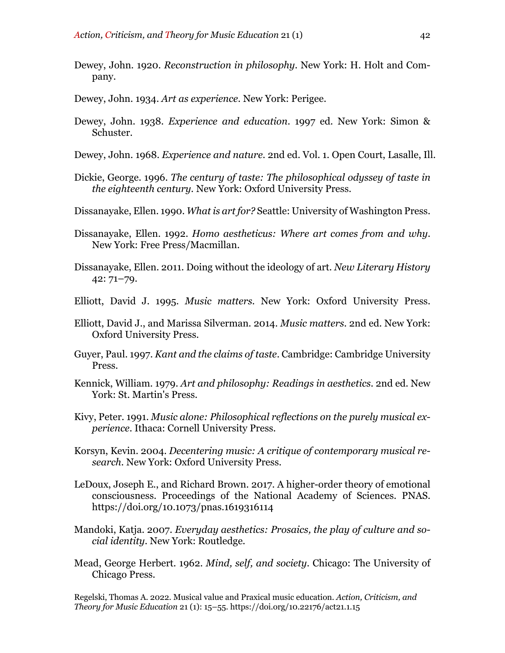- Dewey, John. 1920. *Reconstruction in philosophy*. New York: H. Holt and Company.
- Dewey, John. 1934. *Art as experience*. New York: Perigee.
- Dewey, John. 1938. *Experience and education*. 1997 ed. New York: Simon & Schuster.
- Dewey, John. 1968. *Experience and nature*. 2nd ed. Vol. 1. Open Court, Lasalle, Ill.
- Dickie, George. 1996. *The century of taste: The philosophical odyssey of taste in the eighteenth century.* New York: Oxford University Press.
- Dissanayake, Ellen. 1990. *What is art for?* Seattle: University of Washington Press.
- Dissanayake, Ellen. 1992. *Homo aestheticus: Where art comes from and why*. New York: Free Press/Macmillan.
- Dissanayake, Ellen. 2011. Doing without the ideology of art. *New Literary History* 42: 71–79.
- Elliott, David J. 1995. *Music matters.* New York: Oxford University Press.
- Elliott, David J., and Marissa Silverman. 2014. *Music matters*. 2nd ed. New York: Oxford University Press.
- Guyer, Paul. 1997. *Kant and the claims of taste*. Cambridge: Cambridge University Press.
- Kennick, William. 1979. *Art and philosophy: Readings in aesthetics*. 2nd ed. New York: St. Martin's Press.
- Kivy, Peter. 1991. *Music alone: Philosophical reflections on the purely musical experience*. Ithaca: Cornell University Press.
- Korsyn, Kevin. 2004. *Decentering music: A critique of contemporary musical research*. New York: Oxford University Press.
- LeDoux, Joseph E., and Richard Brown. 2017. A higher-order theory of emotional consciousness. Proceedings of the National Academy of Sciences. PNAS. https://doi.org/10.1073/pnas.1619316114
- Mandoki, Katja. 2007. *Everyday aesthetics: Prosaics, the play of culture and social identity*. New York: Routledge.
- Mead, George Herbert. 1962. *Mind, self, and society*. Chicago: The University of Chicago Press.

Regelski, Thomas A. 2022. Musical value and Praxical music education. *Action, Criticism, and Theory for Music Education* 21 (1): 15–55. https://doi.org/10.22176/act21.1.15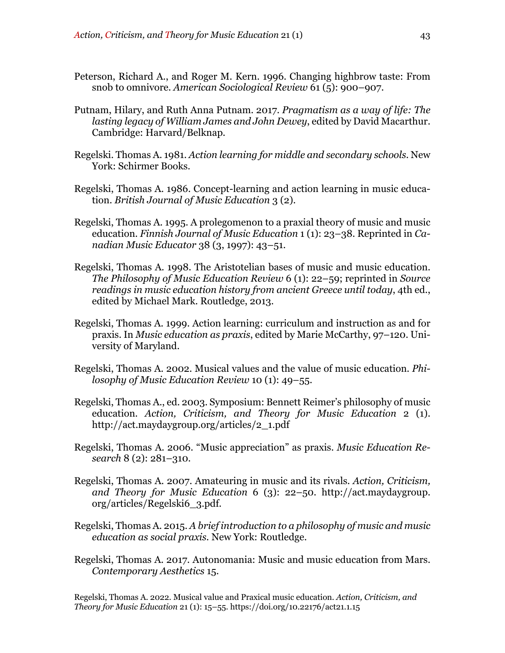- Peterson, Richard A., and Roger M. Kern. 1996. Changing highbrow taste: From snob to omnivore. *American Sociological Review* 61 (5): 900–907.
- Putnam, Hilary, and Ruth Anna Putnam. 2017. *Pragmatism as a way of life: The lasting legacy of William James and John Dewey*, edited by David Macarthur. Cambridge: Harvard/Belknap.
- Regelski. Thomas A. 1981. *Action learning for middle and secondary schools.* New York: Schirmer Books.
- Regelski, Thomas A. 1986. Concept-learning and action learning in music education. *British Journal of Music Education* 3 (2).
- Regelski, Thomas A. 1995. A prolegomenon to a praxial theory of music and music education. *Finnish Journal of Music Education* 1 (1): 23–38. Reprinted in *Canadian Music Educator* 38 (3, 1997): 43–51.
- Regelski, Thomas A. 1998. The Aristotelian bases of music and music education. *The Philosophy of Music Education Review* 6 (1): 22–59; reprinted in *Source readings in music education history from ancient Greece until today*, 4th ed., edited by Michael Mark. Routledge, 2013.
- Regelski, Thomas A. 1999. Action learning: curriculum and instruction as and for praxis. In *Music education as praxis*, edited by Marie McCarthy, 97–120. University of Maryland.
- Regelski, Thomas A. 2002. Musical values and the value of music education. *Philosophy of Music Education Review* 10 (1): 49–55.
- Regelski, Thomas A., ed. 2003. Symposium: Bennett Reimer's philosophy of music education. *Action, Criticism, and Theory for Music Education* 2 (1). http://act.maydaygroup.org/articles/2\_1.pdf
- Regelski, Thomas A. 2006. "Music appreciation" as praxis. *Music Education Research* 8 (2): 281–310.
- Regelski, Thomas A. 2007. Amateuring in music and its rivals. *Action, Criticism, and Theory for Music Education* 6 (3): 22–50. http://act.maydaygroup. org/articles/Regelski6\_3.pdf.
- Regelski, Thomas A. 2015. *A brief introduction to a philosophy of music and music education as social praxis.* New York: Routledge.
- Regelski, Thomas A. 2017. Autonomania: Music and music education from Mars. *Contemporary Aesthetics* 15.

Regelski, Thomas A. 2022. Musical value and Praxical music education. *Action, Criticism, and Theory for Music Education* 21 (1): 15–55. https://doi.org/10.22176/act21.1.15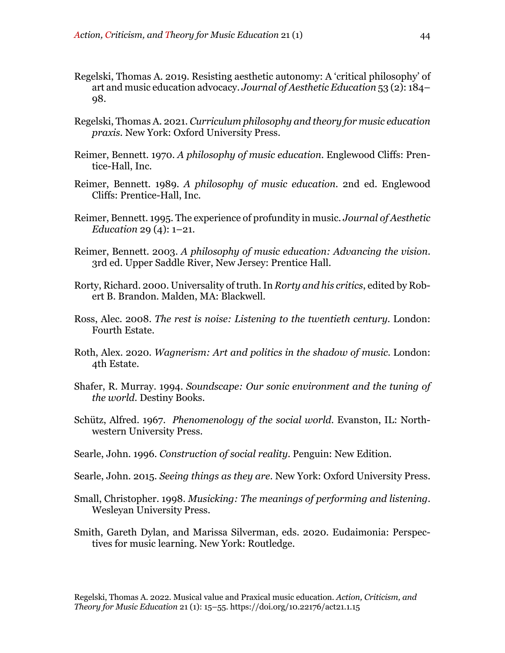- Regelski, Thomas A. 2019. Resisting aesthetic autonomy: A 'critical philosophy' of art and music education advocacy. *Journal of Aesthetic Education* 53 (2): 184– 98.
- Regelski, Thomas A. 2021. *Curriculum philosophy and theory for music education praxis.* New York: Oxford University Press.
- Reimer, Bennett. 1970. *A philosophy of music education*. Englewood Cliffs: Prentice-Hall, Inc.
- Reimer, Bennett. 1989. *A philosophy of music education*. 2nd ed. Englewood Cliffs: Prentice-Hall, Inc.
- Reimer, Bennett. 1995. The experience of profundity in music. *Journal of Aesthetic Education* 29 (4): 1–21.
- Reimer, Bennett. 2003. *A philosophy of music education: Advancing the vision*. 3rd ed. Upper Saddle River, New Jersey: Prentice Hall.
- Rorty, Richard. 2000. Universality of truth. In *Rorty and his critics*, edited by Robert B. Brandon. Malden, MA: Blackwell.
- Ross, Alec. 2008. *The rest is noise: Listening to the twentieth century*. London: Fourth Estate.
- Roth, Alex. 2020. *Wagnerism: Art and politics in the shadow of music*. London: 4th Estate.
- Shafer, R. Murray. 1994. *Soundscape: Our sonic environment and the tuning of the world*. Destiny Books.
- Schütz, Alfred. 1967. *Phenomenology of the social world*. Evanston, IL: Northwestern University Press.
- Searle, John. 1996. *Construction of social reality.* Penguin: New Edition.
- Searle, John. 2015. *Seeing things as they are*. New York: Oxford University Press.
- Small, Christopher. 1998. *Musicking: The meanings of performing and listening*. Wesleyan University Press.
- Smith, Gareth Dylan, and Marissa Silverman, eds. 2020. Eudaimonia: Perspectives for music learning. New York: Routledge.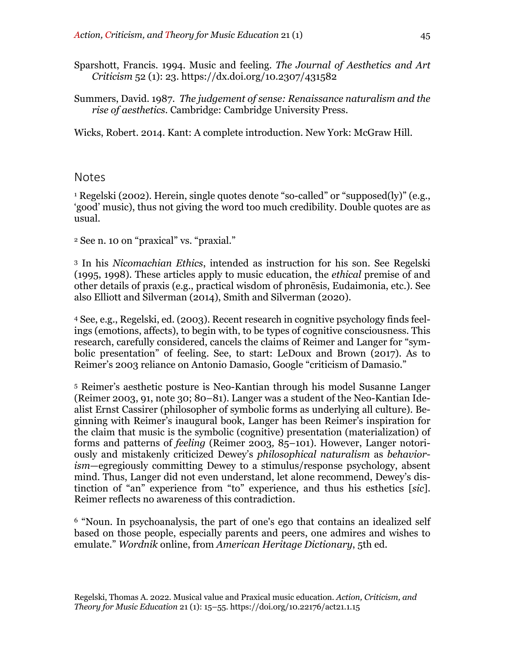- Sparshott, Francis. 1994. Music and feeling. *The Journal of Aesthetics and Art Criticism* 52 (1): 23. https://dx.doi.org/10.2307/431582
- Summers, David. 1987. *The judgement of sense: Renaissance naturalism and the rise of aesthetics*. Cambridge: Cambridge University Press.

Wicks, Robert. 2014. Kant: A complete introduction. New York: McGraw Hill.

#### Notes

<sup>1</sup> Regelski (2002). Herein, single quotes denote "so-called" or "supposed(ly)" (e.g., 'good' music), thus not giving the word too much credibility. Double quotes are as usual.

<sup>2</sup> See n. 10 on "praxical" vs. "praxial."

<sup>3</sup> In his *Nicomachian Ethics*, intended as instruction for his son. See Regelski (1995, 1998). These articles apply to music education, the *ethical* premise of and other details of praxis (e.g., practical wisdom of phronēsis, Eudaimonia, etc.). See also Elliott and Silverman (2014), Smith and Silverman (2020).

<sup>4</sup> See, e.g., Regelski, ed. (2003). Recent research in cognitive psychology finds feelings (emotions, affects), to begin with, to be types of cognitive consciousness. This research, carefully considered, cancels the claims of Reimer and Langer for "symbolic presentation" of feeling. See, to start: LeDoux and Brown (2017). As to Reimer's 2003 reliance on Antonio Damasio, Google "criticism of Damasio."

<sup>5</sup> Reimer's aesthetic posture is Neo-Kantian through his model Susanne Langer (Reimer 2003, 91, note 30; 80–81). Langer was a student of the Neo-Kantian Idealist Ernst Cassirer (philosopher of symbolic forms as underlying all culture). Beginning with Reimer's inaugural book, Langer has been Reimer's inspiration for the claim that music is the symbolic (cognitive) presentation (materialization) of forms and patterns of *feeling* (Reimer 2003*,* 85–101). However, Langer notoriously and mistakenly criticized Dewey's *philosophical naturalism* as *behaviorism*—egregiously committing Dewey to a stimulus/response psychology, absent mind. Thus, Langer did not even understand, let alone recommend, Dewey's distinction of "an" experience from "to" experience, and thus his esthetics [*sic*]. Reimer reflects no awareness of this contradiction.

<sup>6</sup> "Noun. In psychoanalysis, the part of one's ego that contains an idealized self based on those people, especially parents and peers, one admires and wishes to emulate." *Wordnik* online, from *American Heritage Dictionary*, 5th ed.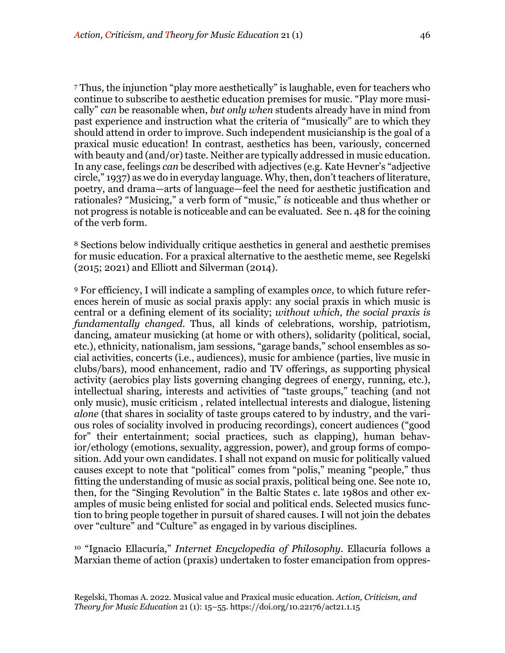<sup>7</sup> Thus, the injunction "play more aesthetically" is laughable, even for teachers who continue to subscribe to aesthetic education premises for music. "Play more musically" *can* be reasonable when, *but only when* students already have in mind from past experience and instruction what the criteria of "musically" are to which they should attend in order to improve. Such independent musicianship is the goal of a praxical music education! In contrast, aesthetics has been, variously, concerned with beauty and (and/or) taste. Neither are typically addressed in music education. In any case, feelings *can* be described with adjectives (e.g. Kate Hevner's "adjective circle," 1937) as we do in everyday language. Why, then, don't teachers of literature, poetry, and drama—arts of language—feel the need for aesthetic justification and rationales? "Musicing," a verb form of "music," *is* noticeable and thus whether or not progress is notable is noticeable and can be evaluated. See n. 48 for the coining of the verb form.

<sup>8</sup> Sections below individually critique aesthetics in general and aesthetic premises for music education. For a praxical alternative to the aesthetic meme, see Regelski (2015; 2021) and Elliott and Silverman (2014).

<sup>9</sup> For efficiency, I will indicate a sampling of examples o*nce*, to which future references herein of music as social praxis apply: any social praxis in which music is central or a defining element of its sociality; *without which, the social praxis is fundamentally changed.* Thus, all kinds of celebrations, worship, patriotism, dancing, amateur musicking (at home or with others), solidarity (political, social, etc.), ethnicity, nationalism, jam sessions, "garage bands," school ensembles as social activities, concerts (i.e., audiences), music for ambience (parties, live music in clubs/bars), mood enhancement, radio and TV offerings, as supporting physical activity (aerobics play lists governing changing degrees of energy, running, etc.), intellectual sharing, interests and activities of "taste groups," teaching (and not only music), music criticism , related intellectual interests and dialogue, listening *alone* (that shares in sociality of taste groups catered to by industry, and the various roles of sociality involved in producing recordings), concert audiences ("good for" their entertainment; social practices, such as clapping), human behavior/ethology (emotions, sexuality, aggression, power), and group forms of composition. Add your own candidates. I shall not expand on music for politically valued causes except to note that "political" comes from "polis," meaning "people," thus fitting the understanding of music as social praxis, political being one. See note 10, then, for the "Singing Revolution" in the Baltic States c. late 1980s and other examples of music being enlisted for social and political ends. Selected musics function to bring people together in pursuit of shared causes. I will not join the debates over "culture" and "Culture" as engaged in by various disciplines.

<sup>10</sup> "Ignacio Ellacuría," *Internet Encyclopedia of Philosophy*. Ellacuría follows a Marxian theme of action (praxis) undertaken to foster emancipation from oppres-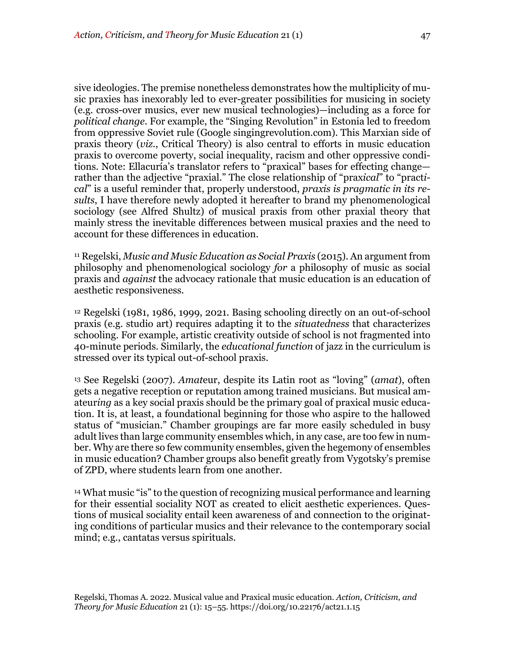sive ideologies. The premise nonetheless demonstrates how the multiplicity of music praxies has inexorably led to ever-greater possibilities for musicing in society (e.g. cross-over musics, ever new musical technologies)—including as a force for *political change*. For example, the "Singing Revolution" in Estonia led to freedom from oppressive Soviet rule (Google singingrevolution.com). This Marxian side of praxis theory (*viz*., Critical Theory) is also central to efforts in music education praxis to overcome poverty, social inequality, racism and other oppressive conditions. Note: Ellacuría's translator refers to "praxical" bases for effecting change rather than the adjective "praxial." The close relationship of "prax*ical*" to "pract*ical*" is a useful reminder that, properly understood, *praxis is pragmatic in its results*, I have therefore newly adopted it hereafter to brand my phenomenological sociology (see Alfred Shultz) of musical praxis from other praxial theory that mainly stress the inevitable differences between musical praxies and the need to account for these differences in education.

<sup>11</sup> Regelski, *Music and Music Education as Social Praxis* (2015). An argument from philosophy and phenomenological sociology *for* a philosophy of music as social praxis and *against* the advocacy rationale that music education is an education of aesthetic responsiveness.

<sup>12</sup> Regelski (1981, 1986, 1999, 2021. Basing schooling directly on an out-of-school praxis (e.g. studio art) requires adapting it to the *situatedness* that characterizes schooling. For example, artistic creativity outside of school is not fragmented into 40-minute periods. Similarly, the *educational function* of jazz in the curriculum is stressed over its typical out-of-school praxis.

<sup>13</sup> See Regelski (2007). *Amat*eur, despite its Latin root as "loving" (*amat*), often gets a negative reception or reputation among trained musicians. But musical amateur*ing* as a key social praxis should be the primary goal of praxical music education. It is, at least, a foundational beginning for those who aspire to the hallowed status of "musician." Chamber groupings are far more easily scheduled in busy adult lives than large community ensembles which, in any case, are too few in number. Why are there so few community ensembles, given the hegemony of ensembles in music education? Chamber groups also benefit greatly from Vygotsky's premise of ZPD, where students learn from one another.

<sup>14</sup> What music "is" to the question of recognizing musical performance and learning for their essential sociality NOT as created to elicit aesthetic experiences. Questions of musical sociality entail keen awareness of and connection to the originating conditions of particular musics and their relevance to the contemporary social mind; e.g., cantatas versus spirituals.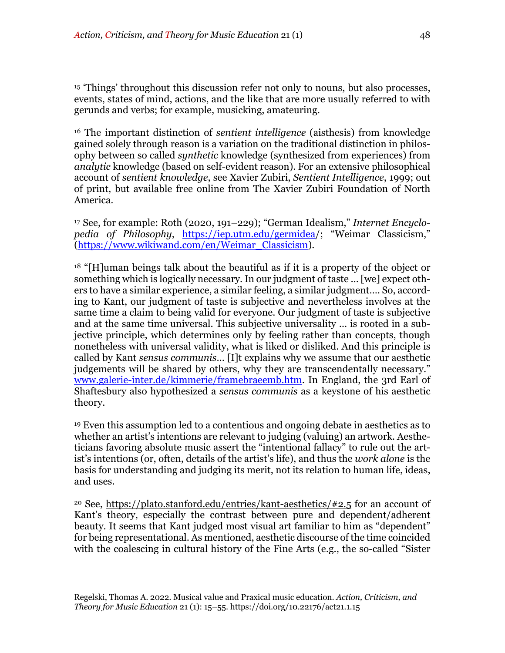<sup>15</sup> 'Things' throughout this discussion refer not only to nouns, but also processes, events, states of mind, actions, and the like that are more usually referred to with gerunds and verbs; for example, musicking, amateuring.

<sup>16</sup> The important distinction of *sentient intelligence* (aisthesis) from knowledge gained solely through reason is a variation on the traditional distinction in philosophy between so called *synthetic* knowledge (synthesized from experiences) from *analytic* knowledge (based on self-evident reason). For an extensive philosophical account of *sentient knowledge*, see Xavier Zubiri, *Sentient Intelligence*, 1999; out of print, but available free online from The Xavier Zubiri Foundation of North America.

<sup>17</sup> See, for example: Roth (2020, 191–229); "German Idealism," *Internet Encyclopedia of Philosophy*, https://iep.utm.edu/germidea/; "Weimar Classicism," (https://www.wikiwand.com/en/Weimar\_Classicism).

<sup>18</sup> "[H]uman beings talk about the beautiful as if it is a property of the object or something which is logically necessary. In our judgment of taste … [we] expect others to have a similar experience, a similar feeling, a similar judgment…. So, according to Kant, our judgment of taste is subjective and nevertheless involves at the same time a claim to being valid for everyone. Our judgment of taste is subjective and at the same time universal. This subjective universality … is rooted in a subjective principle, which determines only by feeling rather than concepts, though nonetheless with universal validity, what is liked or disliked. And this principle is called by Kant *sensus communis*… [I]t explains why we assume that our aesthetic judgements will be shared by others, why they are transcendentally necessary." www.galerie-inter.de/kimmerie/framebraeemb.htm. In England, the 3rd Earl of Shaftesbury also hypothesized a *sensus communis* as a keystone of his aesthetic theory.

<sup>19</sup> Even this assumption led to a contentious and ongoing debate in aesthetics as to whether an artist's intentions are relevant to judging (valuing) an artwork. Aestheticians favoring absolute music assert the "intentional fallacy" to rule out the artist's intentions (or, often, details of the artist's life), and thus the *work alone* is the basis for understanding and judging its merit, not its relation to human life, ideas, and uses.

<sup>20</sup> See, https://plato.stanford.edu/entries/kant-aesthetics/#2.5 for an account of Kant's theory, especially the contrast between pure and dependent/adherent beauty. It seems that Kant judged most visual art familiar to him as "dependent" for being representational. As mentioned, aesthetic discourse of the time coincided with the coalescing in cultural history of the Fine Arts (e.g., the so-called "Sister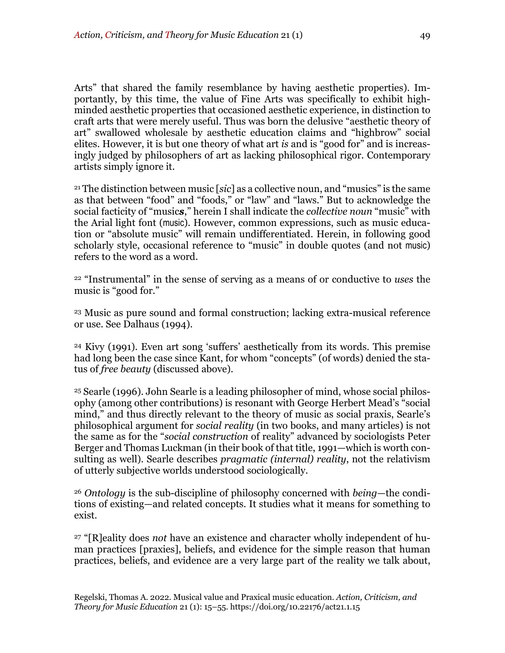Arts" that shared the family resemblance by having aesthetic properties). Importantly, by this time, the value of Fine Arts was specifically to exhibit highminded aesthetic properties that occasioned aesthetic experience, in distinction to craft arts that were merely useful. Thus was born the delusive "aesthetic theory of art" swallowed wholesale by aesthetic education claims and "highbrow" social elites. However, it is but one theory of what art *is* and is "good for" and is increasingly judged by philosophers of art as lacking philosophical rigor. Contemporary artists simply ignore it.

<sup>21</sup> The distinction between music [*sic*] as a collective noun, and "musics" is the same as that between "food" and "foods," or "law" and "laws." But to acknowledge the social facticity of "music*s*," herein I shall indicate the *collective noun* "music" with the Arial light font (music). However, common expressions, such as music education or "absolute music" will remain undifferentiated. Herein, in following good scholarly style, occasional reference to "music" in double quotes (and not music) refers to the word as a word.

<sup>22</sup> "Instrumental" in the sense of serving as a means of or conductive to *uses* the music is "good for."

<sup>23</sup> Music as pure sound and formal construction; lacking extra-musical reference or use. See Dalhaus (1994).

<sup>24</sup> Kivy (1991). Even art song 'suffers' aesthetically from its words. This premise had long been the case since Kant, for whom "concepts" (of words) denied the status of *free beauty* (discussed above).

<sup>25</sup> Searle (1996). John Searle is a leading philosopher of mind, whose social philosophy (among other contributions) is resonant with George Herbert Mead's "social mind," and thus directly relevant to the theory of music as social praxis, Searle's philosophical argument for *social reality* (in two books, and many articles) is not the same as for the "*social construction* of reality" advanced by sociologists Peter Berger and Thomas Luckman (in their book of that title, 1991—which is worth consulting as well). Searle describes *pragmatic (internal) reality*, not the relativism of utterly subjective worlds understood sociologically.

<sup>26</sup> *Ontology* is the sub-discipline of philosophy concerned with *being*—the conditions of existing—and related concepts. It studies what it means for something to exist.

<sup>27</sup> "[R]eality does *not* have an existence and character wholly independent of human practices [praxies], beliefs, and evidence for the simple reason that human practices, beliefs, and evidence are a very large part of the reality we talk about,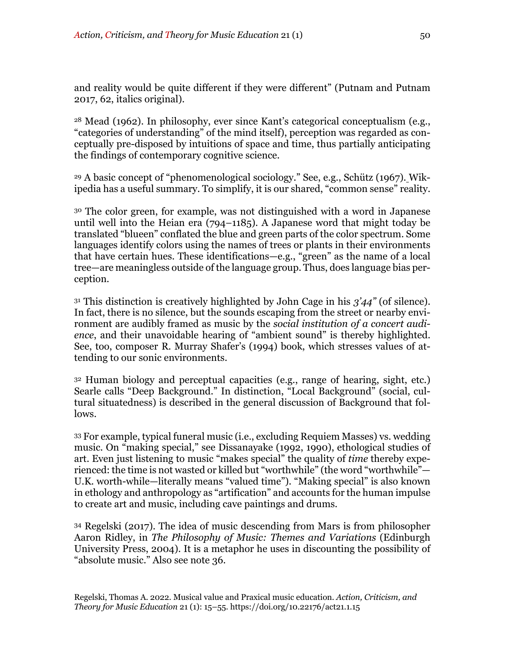and reality would be quite different if they were different" (Putnam and Putnam 2017, 62, italics original).

<sup>28</sup> Mead (1962). In philosophy, ever since Kant's categorical conceptualism (e.g., "categories of understanding" of the mind itself), perception was regarded as conceptually pre-disposed by intuitions of space and time, thus partially anticipating the findings of contemporary cognitive science.

<sup>29</sup> A basic concept of "phenomenological sociology." See, e.g., Schütz (1967). Wikipedia has a useful summary. To simplify, it is our shared, "common sense" reality.

<sup>30</sup> The color green, for example, was not distinguished with a word in Japanese until well into the Heian era (794–1185). A Japanese word that might today be translated "blueen" conflated the blue and green parts of the color spectrum. Some languages identify colors using the names of trees or plants in their environments that have certain hues. These identifications—e.g., "green" as the name of a local tree—are meaningless outside of the language group. Thus, does language bias perception.

<sup>31</sup> This distinction is creatively highlighted by John Cage in his *3'44"* (of silence). In fact, there is no silence, but the sounds escaping from the street or nearby environment are audibly framed as music by the *social institution of a concert audience*, and their unavoidable hearing of "ambient sound" is thereby highlighted. See, too, composer R. Murray Shafer's (1994) book, which stresses values of attending to our sonic environments.

<sup>32</sup> Human biology and perceptual capacities (e.g., range of hearing, sight, etc.) Searle calls "Deep Background." In distinction, "Local Background" (social, cultural situatedness) is described in the general discussion of Background that follows.

<sup>33</sup> For example, typical funeral music (i.e., excluding Requiem Masses) vs. wedding music. On "making special," see Dissanayake (1992, 1990), ethological studies of art. Even just listening to music "makes special" the quality of *time* thereby experienced: the time is not wasted or killed but "worthwhile" (the word "worthwhile"— U.K. worth-while—literally means "valued time"). "Making special" is also known in ethology and anthropology as "artification" and accounts for the human impulse to create art and music, including cave paintings and drums.

<sup>34</sup> Regelski (2017). The idea of music descending from Mars is from philosopher Aaron Ridley, in *The Philosophy of Music: Themes and Variations* (Edinburgh University Press, 2004). It is a metaphor he uses in discounting the possibility of "absolute music." Also see note 36.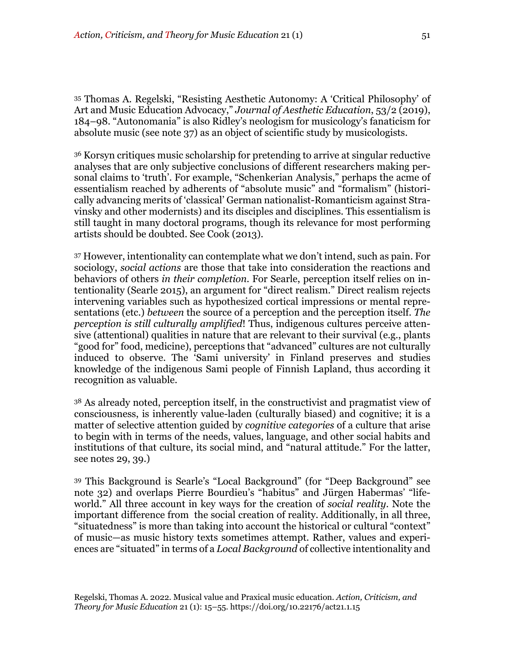<sup>35</sup> Thomas A. Regelski, "Resisting Aesthetic Autonomy: A 'Critical Philosophy' of Art and Music Education Advocacy," *Journal of Aesthetic Education*, 53/2 (2019), 184–98. "Autonomania" is also Ridley's neologism for musicology's fanaticism for absolute music (see note 37) as an object of scientific study by musicologists.

<sup>36</sup> Korsyn critiques music scholarship for pretending to arrive at singular reductive analyses that are only subjective conclusions of different researchers making personal claims to 'truth'. For example, "Schenkerian Analysis," perhaps the acme of essentialism reached by adherents of "absolute music" and "formalism" (historically advancing merits of 'classical' German nationalist-Romanticism against Stravinsky and other modernists) and its disciples and disciplines. This essentialism is still taught in many doctoral programs, though its relevance for most performing artists should be doubted. See Cook (2013).

<sup>37</sup> However, intentionality can contemplate what we don't intend, such as pain. For sociology, *social actions* are those that take into consideration the reactions and behaviors of others *in their completion*. For Searle, perception itself relies on intentionality (Searle 2015), an argument for "direct realism." Direct realism rejects intervening variables such as hypothesized cortical impressions or mental representations (etc.) *between* the source of a perception and the perception itself. *The perception is still culturally amplified*! Thus, indigenous cultures perceive attensive (attentional) qualities in nature that are relevant to their survival (e.g., plants "good for" food, medicine), perceptions that "advanced" cultures are not culturally induced to observe. The 'Sami university' in Finland preserves and studies knowledge of the indigenous Sami people of Finnish Lapland, thus according it recognition as valuable.

<sup>38</sup> As already noted, perception itself, in the constructivist and pragmatist view of consciousness, is inherently value-laden (culturally biased) and cognitive; it is a matter of selective attention guided by *cognitive categories* of a culture that arise to begin with in terms of the needs, values, language, and other social habits and institutions of that culture, its social mind, and "natural attitude." For the latter, see notes 29, 39.)

<sup>39</sup> This Background is Searle's "Local Background" (for "Deep Background" see note 32) and overlaps Pierre Bourdieu's "habitus" and Jürgen Habermas' "lifeworld." All three account in key ways for the creation of *social reality*. Note the important difference from the social creation of reality. Additionally, in all three, "situatedness" is more than taking into account the historical or cultural "context" of music—as music history texts sometimes attempt. Rather, values and experiences are "situated" in terms of a *Local Background* of collective intentionality and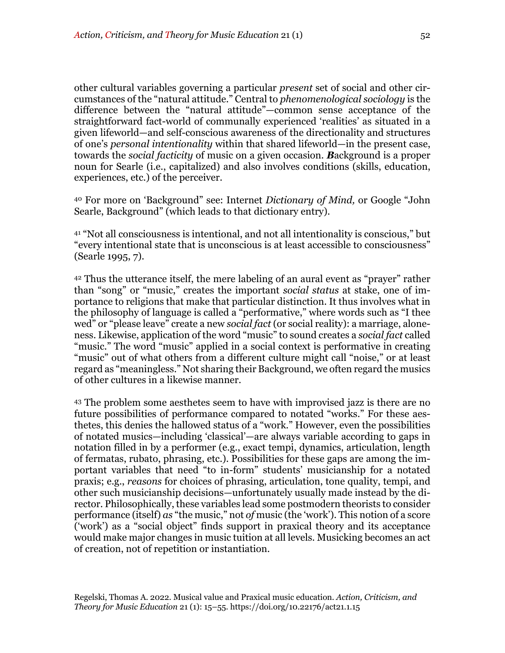other cultural variables governing a particular *present* set of social and other circumstances of the "natural attitude." Central to *phenomenological sociology* is the difference between the "natural attitude"—common sense acceptance of the straightforward fact-world of communally experienced 'realities' as situated in a given lifeworld—and self-conscious awareness of the directionality and structures of one's *personal intentionality* within that shared lifeworld—in the present case, towards the *social facticity* of music on a given occasion. *B*ackground is a proper noun for Searle (i.e., capitalized) and also involves conditions (skills, education, experiences, etc.) of the perceiver.

<sup>40</sup> For more on 'Background" see: Internet *Dictionary of Mind,* or Google "John Searle, Background" (which leads to that dictionary entry).

<sup>41</sup> "Not all consciousness is intentional, and not all intentionality is conscious," but "every intentional state that is unconscious is at least accessible to consciousness" (Searle 1995, 7).

<sup>42</sup> Thus the utterance itself, the mere labeling of an aural event as "prayer" rather than "song" or "music," creates the important *social status* at stake, one of importance to religions that make that particular distinction. It thus involves what in the philosophy of language is called a "performative," where words such as "I thee wed" or "please leave" create a new *social fact* (or social reality): a marriage, aloneness. Likewise, application of the word "music" to sound creates a *social fact* called "music." The word "music" applied in a social context is performative in creating "music" out of what others from a different culture might call "noise," or at least regard as "meaningless." Not sharing their Background, we often regard the musics of other cultures in a likewise manner.

<sup>43</sup> The problem some aesthetes seem to have with improvised jazz is there are no future possibilities of performance compared to notated "works." For these aesthetes, this denies the hallowed status of a "work." However, even the possibilities of notated musics—including 'classical'—are always variable according to gaps in notation filled in by a performer (e.g., exact tempi, dynamics, articulation, length of fermatas, rubato, phrasing, etc.). Possibilities for these gaps are among the important variables that need "to in-form" students' musicianship for a notated praxis; e.g., *reasons* for choices of phrasing, articulation, tone quality, tempi, and other such musicianship decisions—unfortunately usually made instead by the director. Philosophically, these variables lead some postmodern theorists to consider performance (itself) *as* "the music," not *of* music (the 'work'). This notion of a score ('work') as a "social object" finds support in praxical theory and its acceptance would make major changes in music tuition at all levels. Musicking becomes an act of creation, not of repetition or instantiation.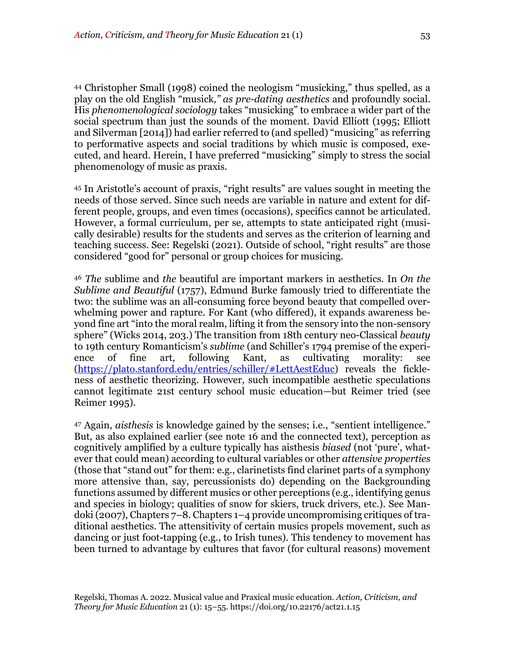<sup>44</sup> Christopher Small (1998) coined the neologism "musicking," thus spelled, as a play on the old English "musick*," as pre-dating aesthetics* and profoundly social. His *phenomenological sociology* takes "musicking" to embrace a wider part of the social spectrum than just the sounds of the moment. David Elliott (1995; Elliott and Silverman [2014]) had earlier referred to (and spelled) "musicing" as referring to performative aspects and social traditions by which music is composed, executed, and heard. Herein, I have preferred "musicking" simply to stress the social phenomenology of music as praxis.

<sup>45</sup> In Aristotle's account of praxis, "right results" are values sought in meeting the needs of those served. Since such needs are variable in nature and extent for different people, groups, and even times (occasions), specifics cannot be articulated. However, a formal curriculum, per se, attempts to state anticipated right (musically desirable) results for the students and serves as the criterion of learning and teaching success. See: Regelski (2021). Outside of school, "right results" are those considered "good for" personal or group choices for musicing.

<sup>46</sup> *The* sublime and *the* beautiful are important markers in aesthetics. In *On the Sublime and Beautiful* (1757), Edmund Burke famously tried to differentiate the two: the sublime was an all-consuming force beyond beauty that compelled overwhelming power and rapture. For Kant (who differed), it expands awareness beyond fine art "into the moral realm, lifting it from the sensory into the non-sensory sphere" (Wicks 2014, 203.) The transition from 18th century neo-Classical *beauty* to 19th century Romanticism's *sublime* (and Schiller's 1794 premise of the experience of fine art, following Kant, as cultivating morality: see (https://plato.stanford.edu/entries/schiller/#LettAestEduc) reveals the fickleness of aesthetic theorizing. However, such incompatible aesthetic speculations cannot legitimate 21st century school music education—but Reimer tried (see Reimer 1995).

<sup>47</sup> Again, *aisthesis* is knowledge gained by the senses; i.e., "sentient intelligence." But, as also explained earlier (see note 16 and the connected text), perception as cognitively amplified by a culture typically has aisthesis *biased* (not 'pure', whatever that could mean) according to cultural variables or other *attensive properties* (those that "stand out" for them: e.g., clarinetists find clarinet parts of a symphony more attensive than, say, percussionists do) depending on the Backgrounding functions assumed by different musics or other perceptions (e.g., identifying genus and species in biology; qualities of snow for skiers, truck drivers, etc.). See Mandoki (2007), Chapters 7–8. Chapters 1–4 provide uncompromising critiques of traditional aesthetics. The attensitivity of certain musics propels movement, such as dancing or just foot-tapping (e.g., to Irish tunes). This tendency to movement has been turned to advantage by cultures that favor (for cultural reasons) movement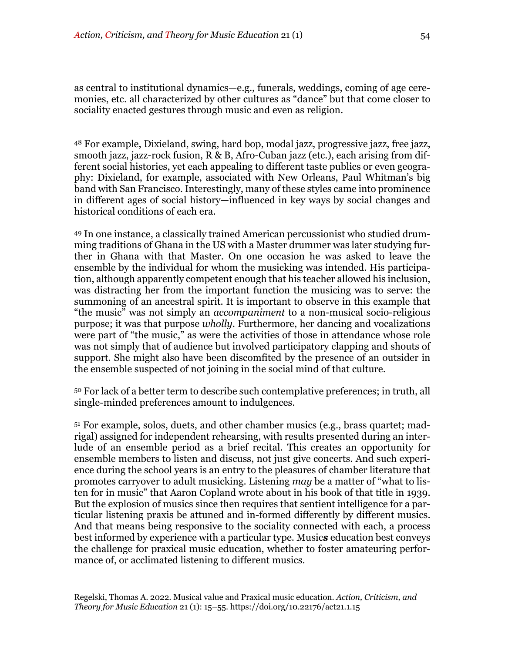as central to institutional dynamics—e.g., funerals, weddings, coming of age ceremonies, etc. all characterized by other cultures as "dance" but that come closer to sociality enacted gestures through music and even as religion.

<sup>48</sup> For example, Dixieland, swing, hard bop, modal jazz, progressive jazz, free jazz, smooth jazz, jazz-rock fusion, R & B, Afro-Cuban jazz (etc.), each arising from different social histories, yet each appealing to different taste publics or even geography: Dixieland, for example, associated with New Orleans, Paul Whitman's big band with San Francisco. Interestingly, many of these styles came into prominence in different ages of social history—influenced in key ways by social changes and historical conditions of each era.

<sup>49</sup> In one instance, a classically trained American percussionist who studied drumming traditions of Ghana in the US with a Master drummer was later studying further in Ghana with that Master. On one occasion he was asked to leave the ensemble by the individual for whom the musicking was intended. His participation, although apparently competent enough that his teacher allowed his inclusion, was distracting her from the important function the musicing was to serve: the summoning of an ancestral spirit. It is important to observe in this example that "the music" was not simply an *accompaniment* to a non-musical socio-religious purpose; it was that purpose *wholly*. Furthermore, her dancing and vocalizations were part of "the music," as were the activities of those in attendance whose role was not simply that of audience but involved participatory clapping and shouts of support. She might also have been discomfited by the presence of an outsider in the ensemble suspected of not joining in the social mind of that culture.

<sup>50</sup> For lack of a better term to describe such contemplative preferences; in truth, all single-minded preferences amount to indulgences.

<sup>51</sup> For example, solos, duets, and other chamber musics (e.g., brass quartet; madrigal) assigned for independent rehearsing, with results presented during an interlude of an ensemble period as a brief recital. This creates an opportunity for ensemble members to listen and discuss, not just give concerts. And such experience during the school years is an entry to the pleasures of chamber literature that promotes carryover to adult musicking. Listening *may* be a matter of "what to listen for in music" that Aaron Copland wrote about in his book of that title in 1939. But the explosion of musics since then requires that sentient intelligence for a particular listening praxis be attuned and in-formed differently by different musics. And that means being responsive to the sociality connected with each, a process best informed by experience with a particular type. Music*s* education best conveys the challenge for praxical music education, whether to foster amateuring performance of, or acclimated listening to different musics.